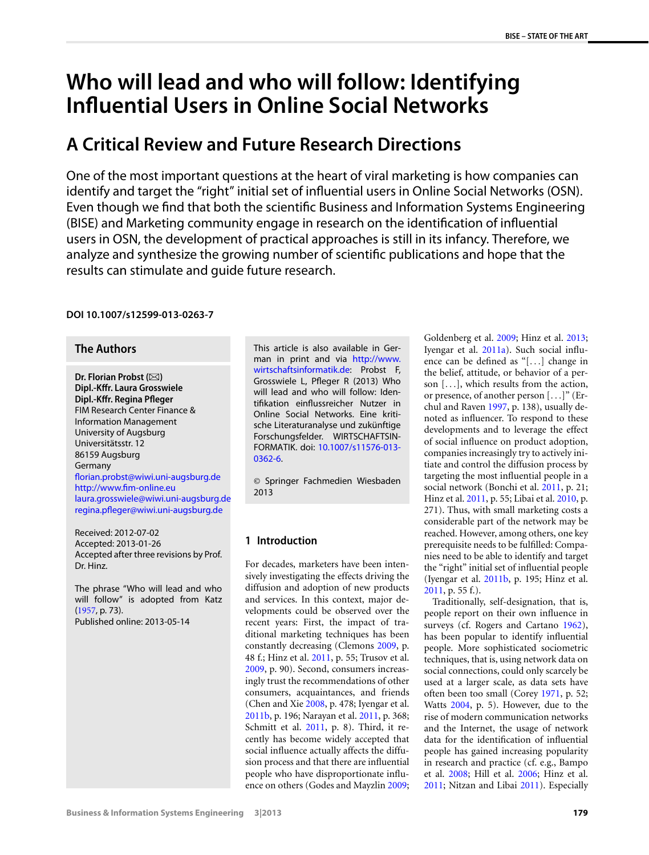# **Who will lead and who will follow: Identifying Influential Users in Online Social Networks**

## **A Critical Review and Future Research Directions**

One of the most important questions at the heart of viral marketing is how companies can identify and target the "right" initial set of influential users in Online Social Networks (OSN). Even though we find that both the scientific Business and Information Systems Engineering (BISE) and Marketing community engage in research on the identification of influential users in OSN, the development of practical approaches is still in its infancy. Therefore, we analyze and synthesize the growing number of scientific publications and hope that the results can stimulate and guide future research.

## **DOI 10.1007/s12599-013-0263-7**

## **The Authors**

**Dr. Florian Probst (⊠) Dipl.-Kffr. Laura Grosswiele Dipl.-Kffr. Regina Pfleger** FIM Research Center Finance & Information Management University of Augsburg Universitätsstr. 12 86159 Augsburg Germany [florian.probst@wiwi.uni-augsburg.de](mailto:florian.probst@wiwi.uni-augsburg.de) <http://www.fim-online.eu> [laura.grosswiele@wiwi.uni-augsburg.de](mailto:laura.grosswiele@wiwi.uni-augsburg.de) [regina.pfleger@wiwi.uni-augsburg.de](mailto:regina.pfleger@wiwi.uni-augsburg.de)

Received: 2012-07-02 Accepted: 2013-01-26 Accepted after three revisions by Prof. Dr. Hinz.

The phrase "Who will lead and who will follow" is adopted from Katz ([1957](#page-13-0), p. 73). Published online: 2013-05-14

This article is also available in German in print and via [http://www.](http://www.wirtschaftsinformatik.de) [wirtschaftsinformatik.de:](http://www.wirtschaftsinformatik.de) Probst F, Grosswiele L, Pfleger R (2013) Who will lead and who will follow: Identifikation einflussreicher Nutzer in Online Social Networks. Eine kritische Literaturanalyse und zukünftige Forschungsfelder. WIRTSCHAFTSIN-FORMATIK. doi: [10.1007/s11576-013-](http://dx.doi.org/10.1007/s11576-013-0362-6) [0362-6.](http://dx.doi.org/10.1007/s11576-013-0362-6)

© Springer Fachmedien Wiesbaden 2013

## **1 Introduction**

For decades, marketers have been intensively investigating the effects driving the diffusion and adoption of new products and services. In this context, major developments could be observed over the recent years: First, the impact of traditional marketing techniques has been constantly decreasing (Clemons [2009,](#page-12-0) p. 48 f.; Hinz et al. [2011,](#page-13-1) p. 55; Trusov et al. [2009](#page-14-0), p. 90). Second, consumers increasingly trust the recommendations of other consumers, acquaintances, and friends (Chen and Xie [2008](#page-12-1), p. 478; Iyengar et al. [2011b,](#page-13-2) p. 196; Narayan et al. [2011,](#page-13-3) p. 368; Schmitt et al. [2011](#page-14-1), p. 8). Third, it recently has become widely accepted that social influence actually affects the diffusion process and that there are influential people who have disproportionate influence on others (Godes and Mayzlin [2009;](#page-13-4) Goldenberg et al. [2009;](#page-13-5) Hinz et al. [2013;](#page-13-6) Iyengar et al. [2011a](#page-13-7)). Such social influence can be defined as "[*...*] change in the belief, attitude, or behavior of a person [*...*], which results from the action, or presence, of another person [*...*]" (Erchul and Raven [1997](#page-12-2), p. 138), usually denoted as influencer. To respond to these developments and to leverage the effect of social influence on product adoption, companies increasingly try to actively initiate and control the diffusion process by targeting the most influential people in a social network (Bonchi et al. [2011](#page-12-3), p. 21; Hinz et al. [2011](#page-13-1), p. 55; Libai et al. [2010,](#page-13-8) p. 271). Thus, with small marketing costs a considerable part of the network may be reached. However, among others, one key prerequisite needs to be fulfilled: Companies need to be able to identify and target the "right" initial set of influential people (Iyengar et al. [2011b,](#page-13-2) p. 195; Hinz et al. [2011](#page-13-1), p. 55 f.).

Traditionally, self-designation, that is, people report on their own influence in surveys (cf. Rogers and Cartano [1962](#page-14-2)), has been popular to identify influential people. More sophisticated sociometric techniques, that is, using network data on social connections, could only scarcely be used at a larger scale, as data sets have often been too small (Corey [1971,](#page-12-4) p. 52; Watts [2004](#page-14-3), p. 5). However, due to the rise of modern communication networks and the Internet, the usage of network data for the identification of influential people has gained increasing popularity in research and practice (cf. e.g., Bampo et al. [2008](#page-12-5); Hill et al. [2006](#page-13-9); Hinz et al. [2011](#page-13-1); Nitzan and Libai [2011](#page-13-10)). Especially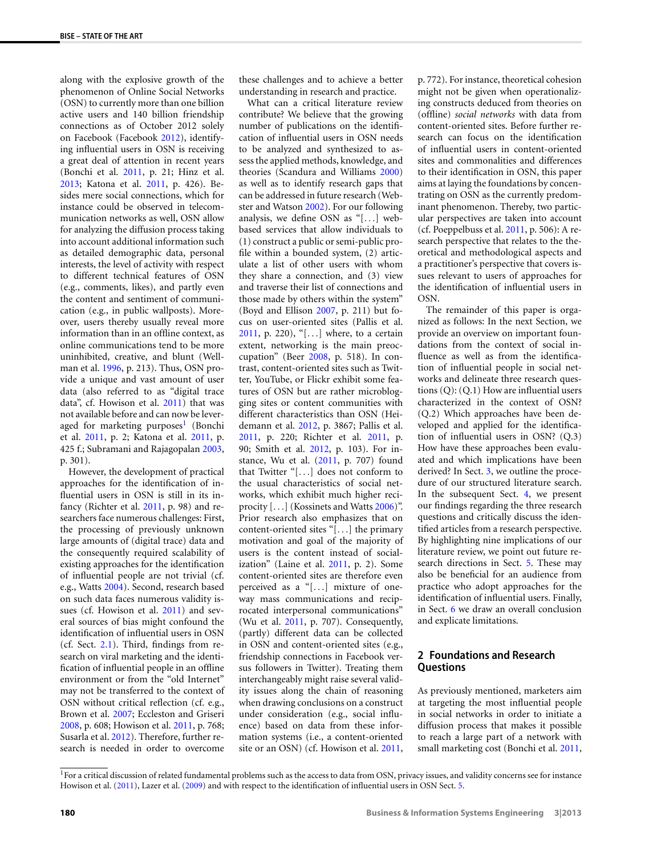along with the explosive growth of the phenomenon of Online Social Networks (OSN) to currently more than one billion active users and 140 billion friendship connections as of October 2012 solely on Facebook (Facebook [2012](#page-12-6)), identifying influential users in OSN is receiving a great deal of attention in recent years (Bonchi et al. [2011,](#page-12-3) p. 21; Hinz et al. [2013](#page-13-6); Katona et al. [2011,](#page-13-11) p. 426). Besides mere social connections, which for instance could be observed in telecommunication networks as well, OSN allow for analyzing the diffusion process taking into account additional information such as detailed demographic data, personal interests, the level of activity with respect to different technical features of OSN (e.g., comments, likes), and partly even the content and sentiment of communication (e.g., in public wallposts). Moreover, users thereby usually reveal more information than in an offline context, as online communications tend to be more uninhibited, creative, and blunt (Wellman et al. [1996,](#page-14-4) p. 213). Thus, OSN provide a unique and vast amount of user data (also referred to as "digital trace data", cf. Howison et al. [2011](#page-13-12)) that was not available before and can now be lever-aged for marketing purposes<sup>[1](#page-1-0)</sup> (Bonchi et al. [2011](#page-12-3), p. 2; Katona et al. [2011,](#page-13-11) p. 425 f.; Subramani and Rajagopalan [2003,](#page-14-5) p. 301).

However, the development of practical approaches for the identification of influential users in OSN is still in its infancy (Richter et al. [2011](#page-14-6), p. 98) and researchers face numerous challenges: First, the processing of previously unknown large amounts of (digital trace) data and the consequently required scalability of existing approaches for the identification of influential people are not trivial (cf. e.g., Watts [2004\)](#page-14-3). Second, research based on such data faces numerous validity issues (cf. Howison et al. [2011\)](#page-13-12) and several sources of bias might confound the identification of influential users in OSN (cf. Sect. [2.1](#page-2-0)). Third, findings from research on viral marketing and the identification of influential people in an offline environment or from the "old Internet" may not be transferred to the context of OSN without critical reflection (cf. e.g., Brown et al. [2007;](#page-12-7) Eccleston and Griseri [2008](#page-12-8), p. 608; Howison et al. [2011](#page-13-12), p. 768; Susarla et al. [2012](#page-14-7)). Therefore, further research is needed in order to overcome these challenges and to achieve a better understanding in research and practice.

What can a critical literature review contribute? We believe that the growing number of publications on the identification of influential users in OSN needs to be analyzed and synthesized to assess the applied methods, knowledge, and theories (Scandura and Williams [2000](#page-14-8)) as well as to identify research gaps that can be addressed in future research (Webster and Watson [2002\)](#page-14-9). For our following analysis, we define OSN as "[*...*] webbased services that allow individuals to (1) construct a public or semi-public profile within a bounded system, (2) articulate a list of other users with whom they share a connection, and (3) view and traverse their list of connections and those made by others within the system" (Boyd and Ellison [2007](#page-12-9), p. 211) but focus on user-oriented sites (Pallis et al. [2011](#page-13-13), p. 220), "[*...*] where, to a certain extent, networking is the main preoccupation" (Beer [2008](#page-12-10), p. 518). In contrast, content-oriented sites such as Twitter, YouTube, or Flickr exhibit some features of OSN but are rather microblogging sites or content communities with different characteristics than OSN (Heidemann et al. [2012](#page-13-14), p. 3867; Pallis et al. [2011](#page-13-13), p. 220; Richter et al. [2011,](#page-14-6) p. 90; Smith et al. [2012,](#page-14-10) p. 103). For instance, Wu et al. ([2011](#page-14-11), p. 707) found that Twitter "[*...*] does not conform to the usual characteristics of social networks, which exhibit much higher reci-procity [...] (Kossinets and Watts [2006\)](#page-13-15)". Prior research also emphasizes that on content-oriented sites "[*...*] the primary motivation and goal of the majority of users is the content instead of socialization" (Laine et al. [2011,](#page-13-16) p. 2). Some content-oriented sites are therefore even perceived as a "[*...*] mixture of oneway mass communications and reciprocated interpersonal communications" (Wu et al. [2011](#page-14-11), p. 707). Consequently, (partly) different data can be collected in OSN and content-oriented sites (e.g., friendship connections in Facebook versus followers in Twitter). Treating them interchangeably might raise several validity issues along the chain of reasoning when drawing conclusions on a construct under consideration (e.g., social influence) based on data from these information systems (i.e., a content-oriented site or an OSN) (cf. Howison et al. [2011,](#page-13-12)

p. 772). For instance, theoretical cohesion might not be given when operationalizing constructs deduced from theories on (offline) *social networks* with data from content-oriented sites. Before further research can focus on the identification of influential users in content-oriented sites and commonalities and differences to their identification in OSN, this paper aims at laying the foundations by concentrating on OSN as the currently predominant phenomenon. Thereby, two particular perspectives are taken into account (cf. Poeppelbuss et al. [2011](#page-14-12), p. 506): A research perspective that relates to the theoretical and methodological aspects and a practitioner's perspective that covers issues relevant to users of approaches for the identification of influential users in OSN.

The remainder of this paper is organized as follows: In the next Section, we provide an overview on important foundations from the context of social influence as well as from the identification of influential people in social networks and delineate three research questions (Q): (Q.1) How are influential users characterized in the context of OSN? (Q.2) Which approaches have been developed and applied for the identification of influential users in OSN? (Q.3) How have these approaches been evaluated and which implications have been derived? In Sect. [3](#page-4-0), we outline the procedure of our structured literature search. In the subsequent Sect. [4,](#page-5-0) we present our findings regarding the three research questions and critically discuss the identified articles from a research perspective. By highlighting nine implications of our literature review, we point out future research directions in Sect. [5.](#page-9-0) These may also be beneficial for an audience from practice who adopt approaches for the identification of influential users. Finally, in Sect. [6](#page-11-0) we draw an overall conclusion and explicate limitations.

## <span id="page-1-1"></span>**2 Foundations and Research Questions**

As previously mentioned, marketers aim at targeting the most influential people in social networks in order to initiate a diffusion process that makes it possible to reach a large part of a network with small marketing cost (Bonchi et al. [2011,](#page-12-3)

<span id="page-1-0"></span><sup>1</sup>For a critical discussion of related fundamental problems such as the access to data from OSN, privacy issues, and validity concerns see for instance Howison et al. ([2011\)](#page-13-12), Lazer et al. [\(2009](#page-13-17)) and with respect to the identification of influential users in OSN Sect. [5](#page-9-0).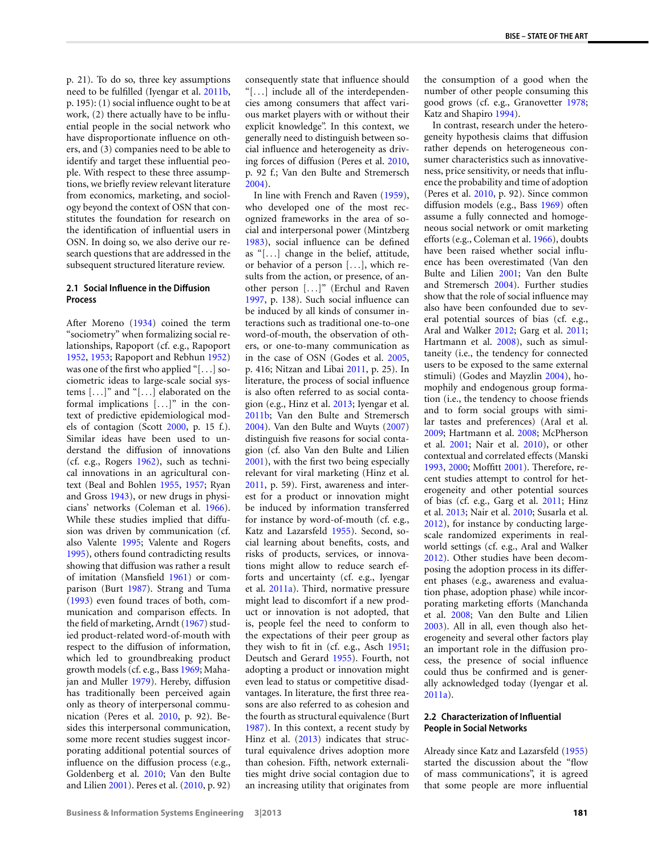p. 21). To do so, three key assumptions need to be fulfilled (Iyengar et al. [2011b,](#page-13-2) p. 195): (1) social influence ought to be at work, (2) there actually have to be influential people in the social network who have disproportionate influence on others, and (3) companies need to be able to identify and target these influential people. With respect to these three assumptions, we briefly review relevant literature from economics, marketing, and sociology beyond the context of OSN that constitutes the foundation for research on the identification of influential users in OSN. In doing so, we also derive our research questions that are addressed in the subsequent structured literature review.

## <span id="page-2-0"></span>**2.1 Social Influence in the Diffusion Process**

After Moreno ([1934](#page-13-18)) coined the term "sociometry" when formalizing social relationships, Rapoport (cf. e.g., Rapoport [1952,](#page-14-13) [1953;](#page-14-14) Rapoport and Rebhun [1952](#page-14-15)) was one of the first who applied "[*...*] sociometric ideas to large-scale social systems [*...*]" and "[*...*] elaborated on the formal implications [*...*]" in the context of predictive epidemiological models of contagion (Scott [2000,](#page-14-16) p. 15 f.). Similar ideas have been used to understand the diffusion of innovations (cf. e.g., Rogers [1962](#page-14-17)), such as technical innovations in an agricultural context (Beal and Bohlen [1955](#page-12-11), [1957](#page-12-12); Ryan and Gross [1943](#page-14-18)), or new drugs in physicians' networks (Coleman et al. [1966](#page-12-13)). While these studies implied that diffusion was driven by communication (cf. also Valente [1995](#page-14-19); Valente and Rogers [1995\)](#page-14-20), others found contradicting results showing that diffusion was rather a result of imitation (Mansfield [1961\)](#page-13-19) or comparison (Burt [1987\)](#page-12-14). Strang and Tuma [\(1993](#page-14-21)) even found traces of both, communication and comparison effects. In the field of marketing, Arndt ([1967\)](#page-11-1) studied product-related word-of-mouth with respect to the diffusion of information, which led to groundbreaking product growth models (cf. e.g., Bass [1969;](#page-12-15) Mahajan and Muller [1979](#page-13-20)). Hereby, diffusion has traditionally been perceived again only as theory of interpersonal communication (Peres et al. [2010](#page-14-22), p. 92). Besides this interpersonal communication, some more recent studies suggest incorporating additional potential sources of influence on the diffusion process (e.g., Goldenberg et al. [2010](#page-13-21); Van den Bulte and Lilien [2001\)](#page-14-23). Peres et al. ([2010,](#page-14-22) p. 92)

consequently state that influence should "[*...*] include all of the interdependencies among consumers that affect various market players with or without their explicit knowledge". In this context, we generally need to distinguish between social influence and heterogeneity as driving forces of diffusion (Peres et al. [2010,](#page-14-22) p. 92 f.; Van den Bulte and Stremersch [2004](#page-14-24)).

In line with French and Raven [\(1959](#page-12-16)), who developed one of the most recognized frameworks in the area of social and interpersonal power (Mintzberg [1983](#page-13-22)), social influence can be defined as "[*...*] change in the belief, attitude, or behavior of a person [*...*], which results from the action, or presence, of another person [*...*]" (Erchul and Raven [1997](#page-12-2), p. 138). Such social influence can be induced by all kinds of consumer interactions such as traditional one-to-one word-of-mouth, the observation of others, or one-to-many communication as in the case of OSN (Godes et al. [2005,](#page-13-23) p. 416; Nitzan and Libai [2011](#page-13-10), p. 25). In literature, the process of social influence is also often referred to as social contagion (e.g., Hinz et al. [2013](#page-13-6); Iyengar et al. [2011b;](#page-13-2) Van den Bulte and Stremersch [2004](#page-14-24)). Van den Bulte and Wuyts [\(2007](#page-14-25)) distinguish five reasons for social contagion (cf. also Van den Bulte and Lilien [2001](#page-14-23)), with the first two being especially relevant for viral marketing (Hinz et al. [2011](#page-13-1), p. 59). First, awareness and interest for a product or innovation might be induced by information transferred for instance by word-of-mouth (cf. e.g., Katz and Lazarsfeld [1955\)](#page-13-24). Second, social learning about benefits, costs, and risks of products, services, or innovations might allow to reduce search efforts and uncertainty (cf. e.g., Iyengar et al. [2011a\)](#page-13-7). Third, normative pressure might lead to discomfort if a new product or innovation is not adopted, that is, people feel the need to conform to the expectations of their peer group as they wish to fit in (cf. e.g., Asch [1951;](#page-11-2) Deutsch and Gerard [1955\)](#page-12-17). Fourth, not adopting a product or innovation might even lead to status or competitive disadvantages. In literature, the first three reasons are also referred to as cohesion and the fourth as structural equivalence (Burt [1987](#page-12-14)). In this context, a recent study by Hinz et al. [\(2013](#page-13-6)) indicates that structural equivalence drives adoption more than cohesion. Fifth, network externalities might drive social contagion due to an increasing utility that originates from the consumption of a good when the number of other people consuming this good grows (cf. e.g., Granovetter [1978;](#page-13-25) Katz and Shapiro [1994](#page-13-26)).

In contrast, research under the heterogeneity hypothesis claims that diffusion rather depends on heterogeneous consumer characteristics such as innovativeness, price sensitivity, or needs that influence the probability and time of adoption (Peres et al. [2010](#page-14-22), p. 92). Since common diffusion models (e.g., Bass [1969](#page-12-15)) often assume a fully connected and homogeneous social network or omit marketing efforts (e.g., Coleman et al. [1966](#page-12-13)), doubts have been raised whether social influence has been overestimated (Van den Bulte and Lilien [2001](#page-14-23); Van den Bulte and Stremersch [2004](#page-14-24)). Further studies show that the role of social influence may also have been confounded due to several potential sources of bias (cf. e.g., Aral and Walker [2012;](#page-11-3) Garg et al. [2011;](#page-12-18) Hartmann et al. [2008\)](#page-13-27), such as simultaneity (i.e., the tendency for connected users to be exposed to the same external stimuli) (Godes and Mayzlin [2004\)](#page-13-28), homophily and endogenous group formation (i.e., the tendency to choose friends and to form social groups with similar tastes and preferences) (Aral et al. [2009](#page-11-4); Hartmann et al. [2008](#page-13-27); McPherson et al. [2001](#page-13-29); Nair et al. [2010](#page-13-30)), or other contextual and correlated effects (Manski [1993](#page-13-31), [2000](#page-13-32); Moffitt [2001\)](#page-13-33). Therefore, recent studies attempt to control for heterogeneity and other potential sources of bias (cf. e.g., Garg et al. [2011](#page-12-18); Hinz et al. [2013;](#page-13-6) Nair et al. [2010](#page-13-30); Susarla et al. [2012](#page-14-7)), for instance by conducting largescale randomized experiments in realworld settings (cf. e.g., Aral and Walker [2012](#page-11-3)). Other studies have been decomposing the adoption process in its different phases (e.g., awareness and evaluation phase, adoption phase) while incorporating marketing efforts (Manchanda et al. [2008;](#page-13-34) Van den Bulte and Lilien [2003](#page-14-26)). All in all, even though also heterogeneity and several other factors play an important role in the diffusion process, the presence of social influence could thus be confirmed and is generally acknowledged today (Iyengar et al. [2011a](#page-13-7)).

#### <span id="page-2-1"></span>**2.2 Characterization of Influential People in Social Networks**

Already since Katz and Lazarsfeld [\(1955\)](#page-13-24) started the discussion about the "flow of mass communications", it is agreed that some people are more influential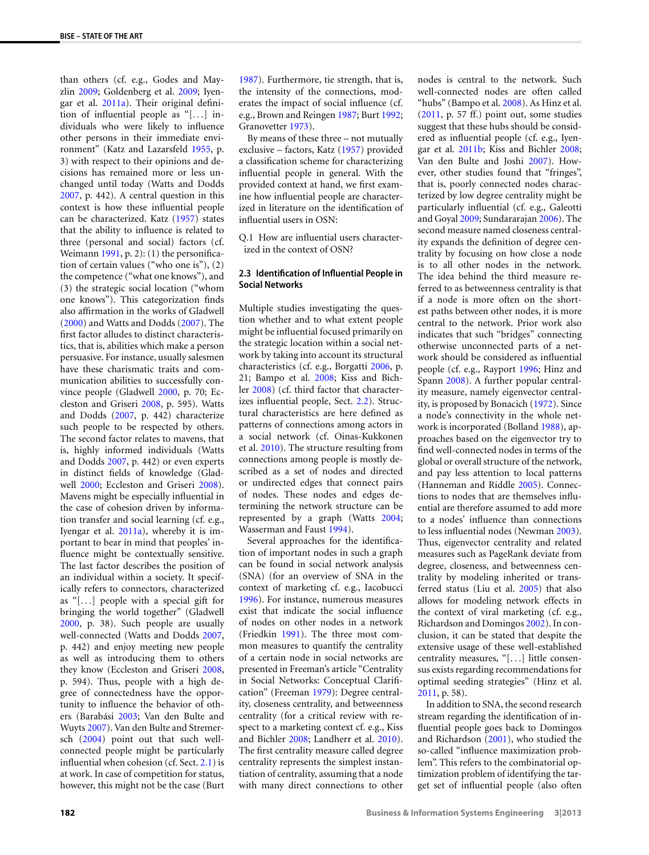than others (cf. e.g., Godes and Mayzlin [2009](#page-13-4); Goldenberg et al. [2009;](#page-13-5) Iyengar et al. [2011a\)](#page-13-7). Their original definition of influential people as "[*...*] individuals who were likely to influence other persons in their immediate environment" (Katz and Lazarsfeld [1955](#page-13-24), p. 3) with respect to their opinions and decisions has remained more or less unchanged until today (Watts and Dodds [2007](#page-14-27), p. 442). A central question in this context is how these influential people can be characterized. Katz [\(1957](#page-13-0)) states that the ability to influence is related to three (personal and social) factors (cf. Weimann [1991,](#page-14-28) p. 2): (1) the personification of certain values ("who one is"), (2) the competence ("what one knows"), and (3) the strategic social location ("whom one knows"). This categorization finds also affirmation in the works of Gladwell [\(2000](#page-13-35)) and Watts and Dodds [\(2007](#page-14-27)). The first factor alludes to distinct characteristics, that is, abilities which make a person persuasive. For instance, usually salesmen have these charismatic traits and communication abilities to successfully convince people (Gladwell [2000,](#page-13-35) p. 70; Eccleston and Griseri [2008,](#page-12-8) p. 595). Watts and Dodds ([2007,](#page-14-27) p. 442) characterize such people to be respected by others. The second factor relates to mavens, that is, highly informed individuals (Watts and Dodds [2007,](#page-14-27) p. 442) or even experts in distinct fields of knowledge (Gladwell [2000](#page-13-35); Eccleston and Griseri [2008](#page-12-8)). Mavens might be especially influential in the case of cohesion driven by information transfer and social learning (cf. e.g., Iyengar et al. [2011a](#page-13-7)), whereby it is important to bear in mind that peoples' influence might be contextually sensitive. The last factor describes the position of an individual within a society. It specifically refers to connectors, characterized as "[*...*] people with a special gift for bringing the world together" (Gladwell [2000](#page-13-35), p. 38). Such people are usually well-connected (Watts and Dodds [2007,](#page-14-27) p. 442) and enjoy meeting new people as well as introducing them to others they know (Eccleston and Griseri [2008,](#page-12-8) p. 594). Thus, people with a high degree of connectedness have the opportunity to influence the behavior of others (Barabási [2003;](#page-12-19) Van den Bulte and Wuyts [2007\)](#page-14-25). Van den Bulte and Stremersch [\(2004](#page-14-24)) point out that such wellconnected people might be particularly influential when cohesion (cf. Sect. [2.1\)](#page-2-0) is at work. In case of competition for status, however, this might not be the case (Burt

[1987](#page-12-14)). Furthermore, tie strength, that is, the intensity of the connections, moderates the impact of social influence (cf. e.g., Brown and Reingen [1987](#page-12-20); Burt [1992;](#page-12-21) Granovetter [1973\)](#page-13-36).

By means of these three – not mutually exclusive – factors, Katz ([1957\)](#page-13-0) provided a classification scheme for characterizing influential people in general. With the provided context at hand, we first examine how influential people are characterized in literature on the identification of influential users in OSN:

<span id="page-3-0"></span>Q.1 How are influential users characterized in the context of OSN?

#### **2.3 Identification of Influential People in Social Networks**

Multiple studies investigating the question whether and to what extent people might be influential focused primarily on the strategic location within a social network by taking into account its structural characteristics (cf. e.g., Borgatti [2006,](#page-12-22) p. 21; Bampo et al. [2008;](#page-12-5) Kiss and Bichler [2008\)](#page-13-37) (cf. third factor that characterizes influential people, Sect. [2.2](#page-2-1)). Structural characteristics are here defined as patterns of connections among actors in a social network (cf. Oinas-Kukkonen et al. [2010\)](#page-13-38). The structure resulting from connections among people is mostly described as a set of nodes and directed or undirected edges that connect pairs of nodes. These nodes and edges determining the network structure can be represented by a graph (Watts [2004;](#page-14-3) Wasserman and Faust [1994\)](#page-14-29).

Several approaches for the identification of important nodes in such a graph can be found in social network analysis (SNA) (for an overview of SNA in the context of marketing cf. e.g., Iacobucci [1996](#page-13-39)). For instance, numerous measures exist that indicate the social influence of nodes on other nodes in a network (Friedkin [1991](#page-12-23)). The three most common measures to quantify the centrality of a certain node in social networks are presented in Freeman's article "Centrality in Social Networks: Conceptual Clarification" (Freeman [1979](#page-12-24)): Degree centrality, closeness centrality, and betweenness centrality (for a critical review with respect to a marketing context cf. e.g., Kiss and Bichler [2008](#page-13-37); Landherr et al. [2010](#page-13-40)). The first centrality measure called degree centrality represents the simplest instantiation of centrality, assuming that a node with many direct connections to other nodes is central to the network. Such well-connected nodes are often called "hubs" (Bampo et al. [2008](#page-12-5)). As Hinz et al. [\(2011,](#page-13-1) p. 57 ff.) point out, some studies suggest that these hubs should be considered as influential people (cf. e.g., Iyengar et al. [2011b;](#page-13-2) Kiss and Bichler [2008;](#page-13-37) Van den Bulte and Joshi [2007\)](#page-14-30). However, other studies found that "fringes", that is, poorly connected nodes characterized by low degree centrality might be particularly influential (cf. e.g., Galeotti and Goyal [2009;](#page-12-25) Sundararajan [2006\)](#page-14-31). The second measure named closeness centrality expands the definition of degree centrality by focusing on how close a node is to all other nodes in the network. The idea behind the third measure referred to as betweenness centrality is that if a node is more often on the shortest paths between other nodes, it is more central to the network. Prior work also indicates that such "bridges" connecting otherwise unconnected parts of a network should be considered as influential people (cf. e.g., Rayport [1996;](#page-14-32) Hinz and Spann [2008](#page-13-41)). A further popular centrality measure, namely eigenvector centrality, is proposed by Bonacich [\(1972\)](#page-12-26). Since a node's connectivity in the whole network is incorporated (Bolland [1988\)](#page-12-27), approaches based on the eigenvector try to find well-connected nodes in terms of the global or overall structure of the network, and pay less attention to local patterns (Hanneman and Riddle [2005](#page-13-42)). Connections to nodes that are themselves influential are therefore assumed to add more to a nodes' influence than connections to less influential nodes (Newman [2003](#page-13-43)). Thus, eigenvector centrality and related measures such as PageRank deviate from degree, closeness, and betweenness centrality by modeling inherited or transferred status (Liu et al. [2005\)](#page-13-44) that also allows for modeling network effects in the context of viral marketing (cf. e.g., Richardson and Domingos [2002](#page-14-33)). In conclusion, it can be stated that despite the extensive usage of these well-established centrality measures, "[*...*] little consensus exists regarding recommendations for optimal seeding strategies" (Hinz et al. [2011](#page-13-1), p. 58).

In addition to SNA, the second research stream regarding the identification of influential people goes back to Domingos and Richardson ([2001\)](#page-12-28), who studied the so-called "influence maximization problem". This refers to the combinatorial optimization problem of identifying the target set of influential people (also often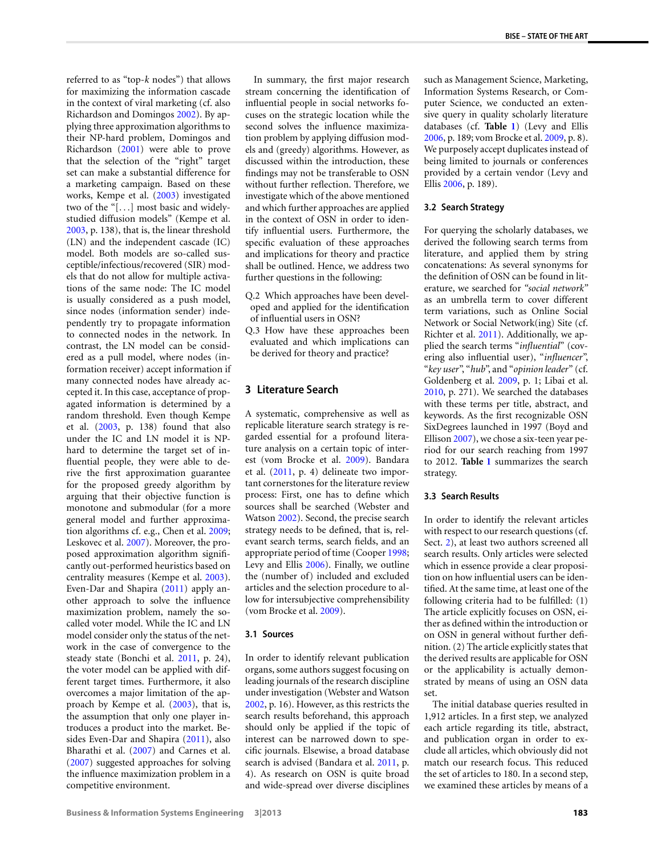referred to as "top-*k* nodes") that allows for maximizing the information cascade in the context of viral marketing (cf. also Richardson and Domingos [2002](#page-14-33)). By applying three approximation algorithms to their NP-hard problem, Domingos and Richardson [\(2001\)](#page-12-28) were able to prove that the selection of the "right" target set can make a substantial difference for a marketing campaign. Based on these works, Kempe et al. ([2003](#page-13-45)) investigated two of the "[*...*] most basic and widelystudied diffusion models" (Kempe et al. [2003,](#page-13-45) p. 138), that is, the linear threshold (LN) and the independent cascade (IC) model. Both models are so-called susceptible/infectious/recovered (SIR) models that do not allow for multiple activations of the same node: The IC model is usually considered as a push model, since nodes (information sender) independently try to propagate information to connected nodes in the network. In contrast, the LN model can be considered as a pull model, where nodes (information receiver) accept information if many connected nodes have already accepted it. In this case, acceptance of propagated information is determined by a random threshold. Even though Kempe et al. [\(2003](#page-13-45), p. 138) found that also under the IC and LN model it is NPhard to determine the target set of influential people, they were able to derive the first approximation guarantee for the proposed greedy algorithm by arguing that their objective function is monotone and submodular (for a more general model and further approximation algorithms cf. e.g., Chen et al. [2009;](#page-12-29) Leskovec et al. [2007\)](#page-13-46). Moreover, the proposed approximation algorithm significantly out-performed heuristics based on centrality measures (Kempe et al. [2003](#page-13-45)). Even-Dar and Shapira ([2011](#page-12-30)) apply another approach to solve the influence maximization problem, namely the socalled voter model. While the IC and LN model consider only the status of the network in the case of convergence to the steady state (Bonchi et al. [2011](#page-12-3), p. 24), the voter model can be applied with different target times. Furthermore, it also overcomes a major limitation of the approach by Kempe et al. [\(2003](#page-13-45)), that is, the assumption that only one player introduces a product into the market. Besides Even-Dar and Shapira [\(2011](#page-12-30)), also Bharathi et al. ([2007\)](#page-12-31) and Carnes et al. [\(2007](#page-12-32)) suggested approaches for solving the influence maximization problem in a competitive environment.

In summary, the first major research stream concerning the identification of influential people in social networks focuses on the strategic location while the second solves the influence maximization problem by applying diffusion models and (greedy) algorithms. However, as discussed within the introduction, these findings may not be transferable to OSN without further reflection. Therefore, we investigate which of the above mentioned and which further approaches are applied in the context of OSN in order to identify influential users. Furthermore, the specific evaluation of these approaches and implications for theory and practice shall be outlined. Hence, we address two further questions in the following:

- <span id="page-4-0"></span>Q.2 Which approaches have been developed and applied for the identification of influential users in OSN?
- Q.3 How have these approaches been evaluated and which implications can be derived for theory and practice?

## **3 Literature Search**

A systematic, comprehensive as well as replicable literature search strategy is regarded essential for a profound literature analysis on a certain topic of interest (vom Brocke et al. [2009](#page-14-34)). Bandara et al. [\(2011](#page-12-33), p. 4) delineate two important cornerstones for the literature review process: First, one has to define which sources shall be searched (Webster and Watson [2002\)](#page-14-9). Second, the precise search strategy needs to be defined, that is, relevant search terms, search fields, and an appropriate period of time (Cooper [1998;](#page-12-34) Levy and Ellis [2006](#page-13-47)). Finally, we outline the (number of) included and excluded articles and the selection procedure to allow for intersubjective comprehensibility (vom Brocke et al. [2009\)](#page-14-34).

#### **3.1 Sources**

In order to identify relevant publication organs, some authors suggest focusing on leading journals of the research discipline under investigation (Webster and Watson [2002](#page-14-9), p. 16). However, as this restricts the search results beforehand, this approach should only be applied if the topic of interest can be narrowed down to specific journals. Elsewise, a broad database search is advised (Bandara et al. [2011,](#page-12-33) p. 4). As research on OSN is quite broad and wide-spread over diverse disciplines such as Management Science, Marketing, Information Systems Research, or Computer Science, we conducted an extensive query in quality scholarly literature databases (cf. **Table [1](#page-5-1)**) (Levy and Ellis [2006](#page-13-47), p. 189; vom Brocke et al. [2009](#page-14-34), p. 8). We purposely accept duplicates instead of being limited to journals or conferences provided by a certain vendor (Levy and Ellis [2006](#page-13-47), p. 189).

#### **3.2 Search Strategy**

For querying the scholarly databases, we derived the following search terms from literature, and applied them by string concatenations: As several synonyms for the definition of OSN can be found in literature, we searched for *"social network"* as an umbrella term to cover different term variations, such as Online Social Network or Social Network(ing) Site (cf. Richter et al. [2011](#page-14-6)). Additionally, we applied the search terms "*influential*" (covering also influential user), "*influencer*", "*key user*", "*hub*", and "*opinion leader*" (cf. Goldenberg et al. [2009](#page-13-5), p. 1; Libai et al. [2010](#page-13-8), p. 271). We searched the databases with these terms per title, abstract, and keywords. As the first recognizable OSN SixDegrees launched in 1997 (Boyd and Ellison [2007\)](#page-12-9), we chose a six-teen year period for our search reaching from 1997 to 2012. **Table [1](#page-5-1)** summarizes the search strategy.

#### **3.3 Search Results**

In order to identify the relevant articles with respect to our research questions (cf. Sect. [2\)](#page-1-1), at least two authors screened all search results. Only articles were selected which in essence provide a clear proposition on how influential users can be identified. At the same time, at least one of the following criteria had to be fulfilled: (1) The article explicitly focuses on OSN, either as defined within the introduction or on OSN in general without further definition. (2) The article explicitly states that the derived results are applicable for OSN or the applicability is actually demonstrated by means of using an OSN data set.

The initial database queries resulted in 1,912 articles. In a first step, we analyzed each article regarding its title, abstract, and publication organ in order to exclude all articles, which obviously did not match our research focus. This reduced the set of articles to 180. In a second step, we examined these articles by means of a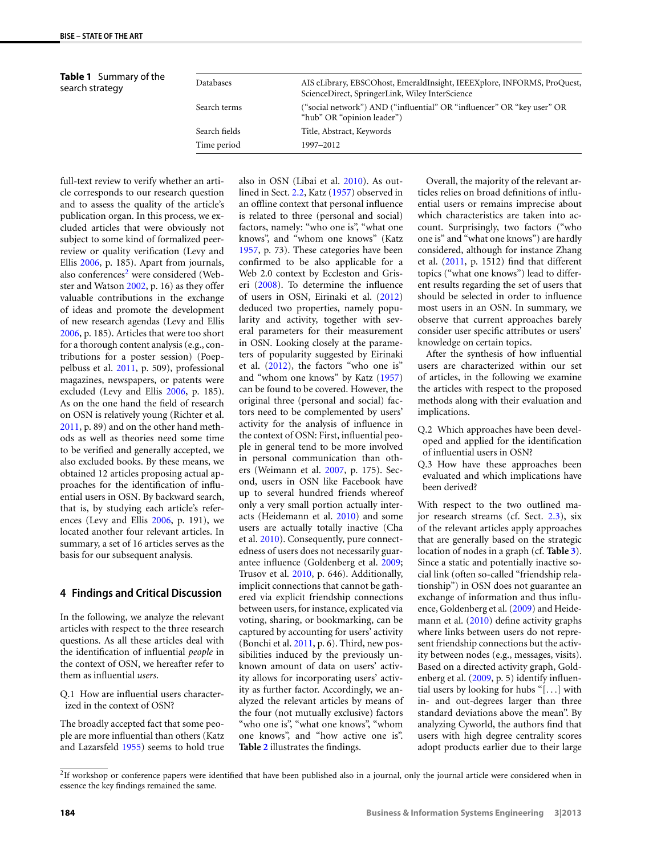**Table 1** Summary of the

<span id="page-5-1"></span>

| <b>Table 1</b> Summary of the<br>search strategy | Databases     | AIS eLibrary, EBSCOhost, EmeraldInsight, IEEEXplore, INFORMS, ProQuest,<br>ScienceDirect, SpringerLink, Wiley InterScience |
|--------------------------------------------------|---------------|----------------------------------------------------------------------------------------------------------------------------|
|                                                  | Search terms  | ("social network") AND ("influential" OR "influencer" OR "key user" OR<br>"hub" OR "opinion leader")                       |
|                                                  | Search fields | Title, Abstract, Keywords                                                                                                  |
|                                                  | Time period   | 1997-2012                                                                                                                  |

full-text review to verify whether an article corresponds to our research question and to assess the quality of the article's publication organ. In this process, we excluded articles that were obviously not subject to some kind of formalized peerreview or quality verification (Levy and Ellis [2006](#page-13-47), p. 185). Apart from journals, also conferences<sup>[2](#page-5-2)</sup> were considered (Webster and Watson [2002,](#page-14-9) p. 16) as they offer valuable contributions in the exchange of ideas and promote the development of new research agendas (Levy and Ellis [2006](#page-13-47), p. 185). Articles that were too short for a thorough content analysis (e.g., contributions for a poster session) (Poeppelbuss et al. [2011](#page-14-12), p. 509), professional magazines, newspapers, or patents were excluded (Levy and Ellis [2006](#page-13-47), p. 185). As on the one hand the field of research on OSN is relatively young (Richter et al. [2011](#page-14-6), p. 89) and on the other hand methods as well as theories need some time to be verified and generally accepted, we also excluded books. By these means, we obtained 12 articles proposing actual approaches for the identification of influential users in OSN. By backward search, that is, by studying each article's references (Levy and Ellis [2006,](#page-13-47) p. 191), we located another four relevant articles. In summary, a set of 16 articles serves as the basis for our subsequent analysis.

#### <span id="page-5-0"></span>**4 Findings and Critical Discussion**

In the following, we analyze the relevant articles with respect to the three research questions. As all these articles deal with the identification of influential *people* in the context of OSN, we hereafter refer to them as influential *users*.

<span id="page-5-2"></span>Q.1 How are influential users characterized in the context of OSN?

The broadly accepted fact that some people are more influential than others (Katz and Lazarsfeld [1955](#page-13-24)) seems to hold true also in OSN (Libai et al. [2010\)](#page-13-8). As outlined in Sect. [2.2](#page-2-1), Katz ([1957](#page-13-0)) observed in an offline context that personal influence is related to three (personal and social) factors, namely: "who one is", "what one knows", and "whom one knows" (Katz [1957](#page-13-0), p. 73). These categories have been confirmed to be also applicable for a Web 2.0 context by Eccleston and Griseri ([2008](#page-12-8)). To determine the influence of users in OSN, Eirinaki et al. [\(2012](#page-12-35)) deduced two properties, namely popularity and activity, together with several parameters for their measurement in OSN. Looking closely at the parameters of popularity suggested by Eirinaki et al. ([2012\)](#page-12-35), the factors "who one is" and "whom one knows" by Katz [\(1957](#page-13-0)) can be found to be covered. However, the original three (personal and social) factors need to be complemented by users' activity for the analysis of influence in the context of OSN: First, influential people in general tend to be more involved in personal communication than others (Weimann et al. [2007](#page-14-35), p. 175). Second, users in OSN like Facebook have up to several hundred friends whereof only a very small portion actually interacts (Heidemann et al. [2010](#page-13-48)) and some users are actually totally inactive (Cha et al. [2010](#page-12-36)). Consequently, pure connectedness of users does not necessarily guarantee influence (Goldenberg et al. [2009;](#page-13-5) Trusov et al. [2010,](#page-14-36) p. 646). Additionally, implicit connections that cannot be gathered via explicit friendship connections between users, for instance, explicated via voting, sharing, or bookmarking, can be captured by accounting for users' activity (Bonchi et al. [2011,](#page-12-3) p. 6). Third, new possibilities induced by the previously unknown amount of data on users' activity allows for incorporating users' activity as further factor. Accordingly, we analyzed the relevant articles by means of the four (not mutually exclusive) factors "who one is", "what one knows", "whom one knows", and "how active one is". **Table [2](#page-6-0)** illustrates the findings.

Overall, the majority of the relevant articles relies on broad definitions of influential users or remains imprecise about which characteristics are taken into account. Surprisingly, two factors ("who one is" and "what one knows") are hardly considered, although for instance Zhang et al. [\(2011](#page-14-37), p. 1512) find that different topics ("what one knows") lead to different results regarding the set of users that should be selected in order to influence most users in an OSN. In summary, we observe that current approaches barely consider user specific attributes or users' knowledge on certain topics.

After the synthesis of how influential users are characterized within our set of articles, in the following we examine the articles with respect to the proposed methods along with their evaluation and implications.

- Q.2 Which approaches have been developed and applied for the identification of influential users in OSN?
- Q.3 How have these approaches been evaluated and which implications have been derived?

With respect to the two outlined major research streams (cf. Sect. [2.3\)](#page-3-0), six of the relevant articles apply approaches that are generally based on the strategic location of nodes in a graph (cf. **Table [3](#page-6-1)**). Since a static and potentially inactive social link (often so-called "friendship relationship") in OSN does not guarantee an exchange of information and thus influence, Goldenberg et al. ([2009\)](#page-13-5) and Heidemann et al. [\(2010](#page-13-48)) define activity graphs where links between users do not represent friendship connections but the activity between nodes (e.g., messages, visits). Based on a directed activity graph, Goldenberg et al. [\(2009,](#page-13-5) p. 5) identify influential users by looking for hubs "[*...*] with in- and out-degrees larger than three standard deviations above the mean". By analyzing Cyworld, the authors find that users with high degree centrality scores adopt products earlier due to their large

 $2$ If workshop or conference papers were identified that have been published also in a journal, only the journal article were considered when in essence the key findings remained the same.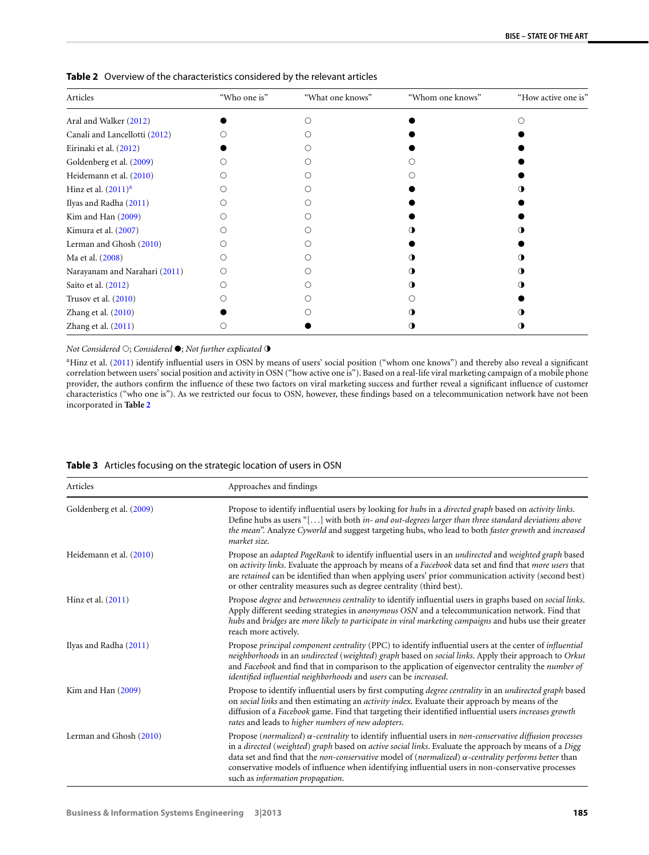| Articles                      | "Who one is" | "What one knows" | "Whom one knows" | "How active one is" |
|-------------------------------|--------------|------------------|------------------|---------------------|
| Aral and Walker (2012)        |              |                  |                  |                     |
| Canali and Lancellotti (2012) |              |                  |                  |                     |
| Eirinaki et al. (2012)        |              |                  |                  |                     |
| Goldenberg et al. (2009)      |              |                  |                  |                     |
| Heidemann et al. (2010)       |              |                  |                  |                     |
| Hinz et al. $(2011)^a$        |              |                  |                  |                     |
| Ilyas and Radha (2011)        |              |                  |                  |                     |
| Kim and Han (2009)            |              |                  |                  |                     |
| Kimura et al. (2007)          |              |                  |                  |                     |
| Lerman and Ghosh (2010)       |              |                  |                  |                     |
| Ma et al. (2008)              |              |                  |                  |                     |
| Narayanam and Narahari (2011) | ∩            |                  |                  |                     |
| Saito et al. (2012)           |              |                  |                  |                     |
| Trusov et al. $(2010)$        |              |                  |                  |                     |
| Zhang et al. (2010)           |              |                  |                  |                     |
| Zhang et al. (2011)           |              |                  |                  |                     |

<span id="page-6-0"></span>**Table 2** Overview of the characteristics considered by the relevant articles

## <span id="page-6-2"></span>*Not Considered*  $\bigcirc$ ; *Considered*  $\bullet$ ; *Not further explicated*  $\bullet$

<span id="page-6-1"></span><sup>a</sup>Hinz et al. ([2011](#page-13-1)) identify influential users in OSN by means of users' social position ("whom one knows") and thereby also reveal a significant correlation between users' social position and activity in OSN ("how active one is"). Based on a real-life viral marketing campaign of a mobile phone provider, the authors confirm the influence of these two factors on viral marketing success and further reveal a significant influence of customer characteristics ("who one is"). As we restricted our focus to OSN, however, these findings based on a telecommunication network have not been incorporated in **Table [2](#page-6-0)**

| <b>Table 3</b> Articles focusing on the strategic location of users in OSN |  |
|----------------------------------------------------------------------------|--|
|----------------------------------------------------------------------------|--|

| Articles                 | Approaches and findings                                                                                                                                                                                                                                                                                                                                                                                                                                                                          |
|--------------------------|--------------------------------------------------------------------------------------------------------------------------------------------------------------------------------------------------------------------------------------------------------------------------------------------------------------------------------------------------------------------------------------------------------------------------------------------------------------------------------------------------|
| Goldenberg et al. (2009) | Propose to identify influential users by looking for hubs in a directed graph based on activity links.<br>Define hubs as users "[ $\dots$ ] with both <i>in- and out-degrees larger than three standard deviations above</i><br>the mean". Analyze Cyworld and suggest targeting hubs, who lead to both faster growth and increased<br>market size.                                                                                                                                              |
| Heidemann et al. (2010)  | Propose an adapted PageRank to identify influential users in an undirected and weighted graph based<br>on <i>activity links</i> . Evaluate the approach by means of a <i>Facebook</i> data set and find that <i>more users</i> that<br>are retained can be identified than when applying users' prior communication activity (second best)<br>or other centrality measures such as degree centrality (third best).                                                                               |
| Hinz et al. $(2011)$     | Propose degree and betweenness centrality to identify influential users in graphs based on social links.<br>Apply different seeding strategies in anonymous OSN and a telecommunication network. Find that<br>hubs and bridges are more likely to participate in viral marketing campaigns and hubs use their greater<br>reach more actively.                                                                                                                                                    |
| Ilyas and Radha (2011)   | Propose principal component centrality (PPC) to identify influential users at the center of influential<br>neighborhoods in an undirected (weighted) graph based on social links. Apply their approach to Orkut<br>and Facebook and find that in comparison to the application of eigenvector centrality the number of<br>identified influential neighborhoods and users can be increased.                                                                                                       |
| Kim and Han $(2009)$     | Propose to identify influential users by first computing degree centrality in an undirected graph based<br>on social links and then estimating an <i>activity index</i> . Evaluate their approach by means of the<br>diffusion of a Facebook game. Find that targeting their identified influential users increases growth<br>rates and leads to higher numbers of new adopters.                                                                                                                 |
| Lerman and Ghosh (2010)  | Propose (normalized) $\alpha$ -centrality to identify influential users in non-conservative diffusion processes<br>in a directed (weighted) graph based on active social links. Evaluate the approach by means of a Digg<br>data set and find that the <i>non-conservative</i> model of ( <i>normalized</i> ) $\alpha$ -centrality performs better than<br>conservative models of influence when identifying influential users in non-conservative processes<br>such as information propagation. |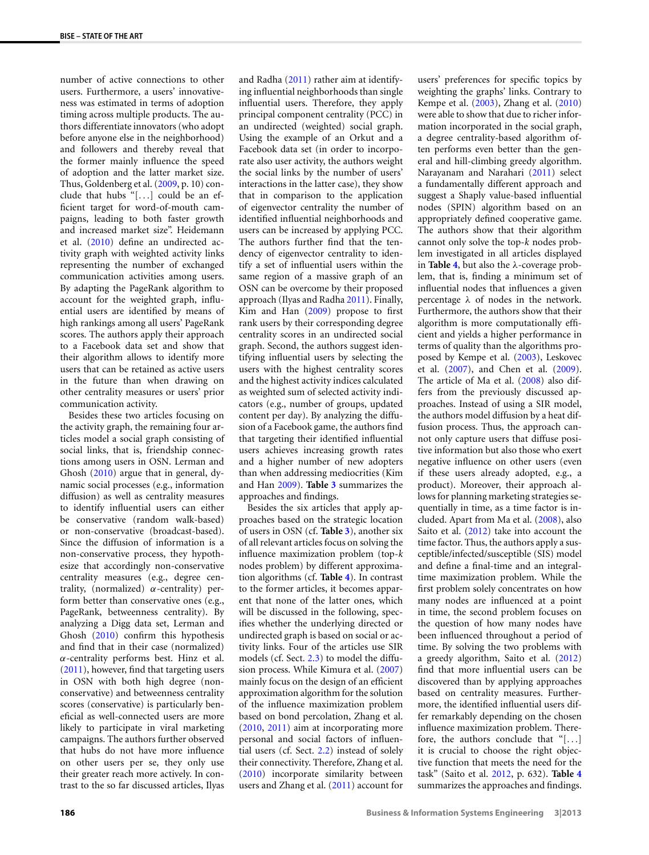number of active connections to other users. Furthermore, a users' innovativeness was estimated in terms of adoption timing across multiple products. The authors differentiate innovators (who adopt before anyone else in the neighborhood) and followers and thereby reveal that the former mainly influence the speed of adoption and the latter market size. Thus, Goldenberg et al. [\(2009](#page-13-5), p. 10) conclude that hubs "[*...*] could be an efficient target for word-of-mouth campaigns, leading to both faster growth and increased market size". Heidemann et al. ([2010\)](#page-13-48) define an undirected activity graph with weighted activity links representing the number of exchanged communication activities among users. By adapting the PageRank algorithm to account for the weighted graph, influential users are identified by means of high rankings among all users' PageRank scores. The authors apply their approach to a Facebook data set and show that their algorithm allows to identify more users that can be retained as active users in the future than when drawing on other centrality measures or users' prior communication activity.

Besides these two articles focusing on the activity graph, the remaining four articles model a social graph consisting of social links, that is, friendship connections among users in OSN. Lerman and Ghosh [\(2010\)](#page-13-52) argue that in general, dynamic social processes (e.g., information diffusion) as well as centrality measures to identify influential users can either be conservative (random walk-based) or non-conservative (broadcast-based). Since the diffusion of information is a non-conservative process, they hypothesize that accordingly non-conservative centrality measures (e.g., degree centrality, (normalized) *α*-centrality) perform better than conservative ones (e.g., PageRank, betweenness centrality). By analyzing a Digg data set, Lerman and Ghosh [\(2010\)](#page-13-52) confirm this hypothesis and find that in their case (normalized) *α*-centrality performs best. Hinz et al. [\(2011](#page-13-1)), however, find that targeting users in OSN with both high degree (nonconservative) and betweenness centrality scores (conservative) is particularly beneficial as well-connected users are more likely to participate in viral marketing campaigns. The authors further observed that hubs do not have more influence on other users per se, they only use their greater reach more actively. In contrast to the so far discussed articles, Ilyas

ing influential neighborhoods than single influential users. Therefore, they apply principal component centrality (PCC) in an undirected (weighted) social graph. Using the example of an Orkut and a Facebook data set (in order to incorporate also user activity, the authors weight the social links by the number of users' interactions in the latter case), they show that in comparison to the application of eigenvector centrality the number of identified influential neighborhoods and users can be increased by applying PCC. The authors further find that the tendency of eigenvector centrality to identify a set of influential users within the same region of a massive graph of an OSN can be overcome by their proposed approach (Ilyas and Radha [2011](#page-13-49)). Finally, Kim and Han [\(2009\)](#page-13-50) propose to first rank users by their corresponding degree centrality scores in an undirected social graph. Second, the authors suggest identifying influential users by selecting the users with the highest centrality scores and the highest activity indices calculated as weighted sum of selected activity indicators (e.g., number of groups, updated content per day). By analyzing the diffusion of a Facebook game, the authors find that targeting their identified influential users achieves increasing growth rates and a higher number of new adopters than when addressing mediocrities (Kim and Han [2009\)](#page-13-50). **Table [3](#page-6-1)** summarizes the approaches and findings. Besides the six articles that apply ap-

and Radha ([2011\)](#page-13-49) rather aim at identify-

proaches based on the strategic location of users in OSN (cf. **Table [3](#page-6-1)**), another six of all relevant articles focus on solving the influence maximization problem (top-*k* nodes problem) by different approximation algorithms (cf. **Table [4](#page-8-0)**). In contrast to the former articles, it becomes apparent that none of the latter ones, which will be discussed in the following, specifies whether the underlying directed or undirected graph is based on social or activity links. Four of the articles use SIR models (cf. Sect. [2.3](#page-3-0)) to model the diffusion process. While Kimura et al. [\(2007](#page-13-51)) mainly focus on the design of an efficient approximation algorithm for the solution of the influence maximization problem based on bond percolation, Zhang et al. [\(2010,](#page-14-39) [2011](#page-14-37)) aim at incorporating more personal and social factors of influential users (cf. Sect. [2.2\)](#page-2-1) instead of solely their connectivity. Therefore, Zhang et al. [\(2010\)](#page-14-39) incorporate similarity between users and Zhang et al. ([2011](#page-14-37)) account for

users' preferences for specific topics by weighting the graphs' links. Contrary to Kempe et al. [\(2003\)](#page-13-45), Zhang et al. [\(2010\)](#page-14-39) were able to show that due to richer information incorporated in the social graph, a degree centrality-based algorithm often performs even better than the general and hill-climbing greedy algorithm. Narayanam and Narahari [\(2011\)](#page-13-54) select a fundamentally different approach and suggest a Shaply value-based influential nodes (SPIN) algorithm based on an appropriately defined cooperative game. The authors show that their algorithm cannot only solve the top-*k* nodes problem investigated in all articles displayed in **Table [4](#page-8-0)**, but also the *λ*-coverage problem, that is, finding a minimum set of influential nodes that influences a given percentage *λ* of nodes in the network. Furthermore, the authors show that their algorithm is more computationally efficient and yields a higher performance in terms of quality than the algorithms proposed by Kempe et al. [\(2003](#page-13-45)), Leskovec et al. ([2007](#page-13-46)), and Chen et al. [\(2009](#page-12-29)). The article of Ma et al. [\(2008](#page-13-53)) also differs from the previously discussed approaches. Instead of using a SIR model, the authors model diffusion by a heat diffusion process. Thus, the approach cannot only capture users that diffuse positive information but also those who exert negative influence on other users (even if these users already adopted, e.g., a product). Moreover, their approach allows for planning marketing strategies sequentially in time, as a time factor is included. Apart from Ma et al. ([2008](#page-13-53)), also Saito et al. ([2012\)](#page-14-38) take into account the time factor. Thus, the authors apply a susceptible/infected/susceptible (SIS) model and define a final-time and an integraltime maximization problem. While the first problem solely concentrates on how many nodes are influenced at a point in time, the second problem focuses on the question of how many nodes have been influenced throughout a period of time. By solving the two problems with a greedy algorithm, Saito et al. [\(2012\)](#page-14-38) find that more influential users can be discovered than by applying approaches based on centrality measures. Furthermore, the identified influential users differ remarkably depending on the chosen influence maximization problem. Therefore, the authors conclude that "[*...*] it is crucial to choose the right objective function that meets the need for the task" (Saito et al. [2012](#page-14-38), p. 632). **Table [4](#page-8-0)** summarizes the approaches and findings.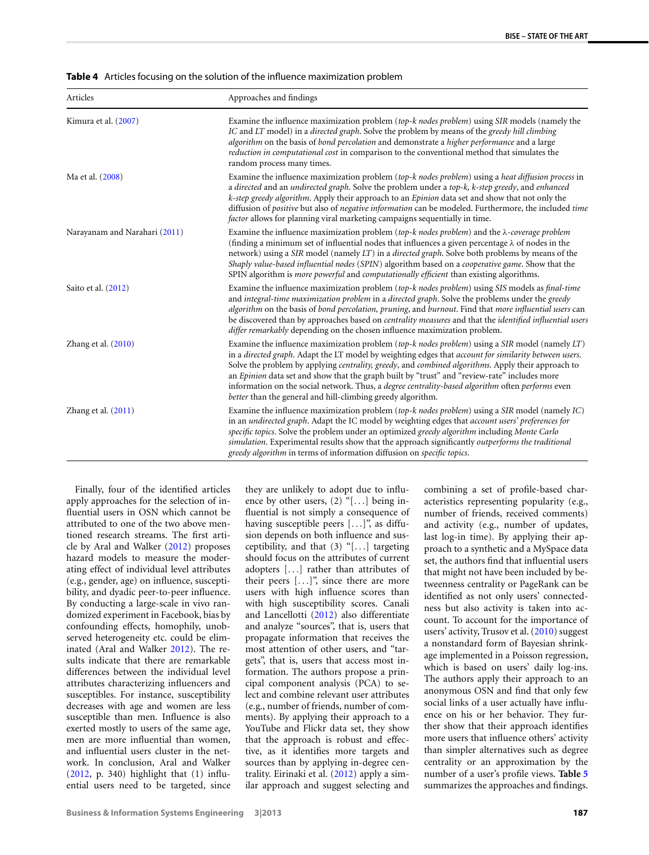<span id="page-8-0"></span>

|  |  |  | Table 4 Articles focusing on the solution of the influence maximization problem |  |
|--|--|--|---------------------------------------------------------------------------------|--|
|--|--|--|---------------------------------------------------------------------------------|--|

| Articles                      | Approaches and findings                                                                                                                                                                                                                                                                                                                                                                                                                                                                                                                                                                             |
|-------------------------------|-----------------------------------------------------------------------------------------------------------------------------------------------------------------------------------------------------------------------------------------------------------------------------------------------------------------------------------------------------------------------------------------------------------------------------------------------------------------------------------------------------------------------------------------------------------------------------------------------------|
| Kimura et al. (2007)          | Examine the influence maximization problem (top-k nodes problem) using SIR models (namely the<br>IC and LT model) in a directed graph. Solve the problem by means of the greedy hill climbing<br>algorithm on the basis of bond percolation and demonstrate a higher performance and a large<br>reduction in computational cost in comparison to the conventional method that simulates the<br>random process many times.                                                                                                                                                                           |
| Ma et al. (2008)              | Examine the influence maximization problem (top-k nodes problem) using a heat diffusion process in<br>a directed and an undirected graph. Solve the problem under a top-k, k-step greedy, and enhanced<br>k-step greedy algorithm. Apply their approach to an Epinion data set and show that not only the<br>diffusion of positive but also of negative information can be modeled. Furthermore, the included time<br>factor allows for planning viral marketing campaigns sequentially in time.                                                                                                    |
| Narayanam and Narahari (2011) | Examine the influence maximization problem (top-k nodes problem) and the $\lambda$ -coverage problem<br>(finding a minimum set of influential nodes that influences a given percentage $\lambda$ of nodes in the<br>network) using a SIR model (namely LT) in a directed graph. Solve both problems by means of the<br>Shaply value-based influential nodes (SPIN) algorithm based on a cooperative game. Show that the<br>SPIN algorithm is <i>more powerful</i> and <i>computationally efficient</i> than existing algorithms.                                                                    |
| Saito et al. (2012)           | Examine the influence maximization problem (top-k nodes problem) using SIS models as final-time<br>and integral-time maximization problem in a directed graph. Solve the problems under the greedy<br>algorithm on the basis of bond percolation, pruning, and burnout. Find that more influential users can<br>be discovered than by approaches based on <i>centrality measures</i> and that the <i>identified influential users</i><br>differ remarkably depending on the chosen influence maximization problem.                                                                                  |
| Zhang et al. $(2010)$         | Examine the influence maximization problem (top-k nodes problem) using a SIR model (namely $LT$ )<br>in a directed graph. Adapt the LT model by weighting edges that account for similarity between users.<br>Solve the problem by applying <i>centrality, greedy</i> , and <i>combined algorithms</i> . Apply their approach to<br>an Epinion data set and show that the graph built by "trust" and "review-rate" includes more<br>information on the social network. Thus, a degree centrality-based algorithm often performs even<br>better than the general and hill-climbing greedy algorithm. |
| Zhang et al. $(2011)$         | Examine the influence maximization problem (top-k nodes problem) using a SIR model (namely $IC$ )<br>in an undirected graph. Adapt the IC model by weighting edges that account users' preferences for<br>specific topics. Solve the problem under an optimized greedy algorithm including Monte Carlo<br>simulation. Experimental results show that the approach significantly outperforms the traditional<br>greedy algorithm in terms of information diffusion on specific topics.                                                                                                               |

Finally, four of the identified articles apply approaches for the selection of influential users in OSN which cannot be attributed to one of the two above mentioned research streams. The first article by Aral and Walker [\(2012](#page-11-3)) proposes hazard models to measure the moderating effect of individual level attributes (e.g., gender, age) on influence, susceptibility, and dyadic peer-to-peer influence. By conducting a large-scale in vivo randomized experiment in Facebook, bias by confounding effects, homophily, unobserved heterogeneity etc. could be eliminated (Aral and Walker [2012](#page-11-3)). The results indicate that there are remarkable differences between the individual level attributes characterizing influencers and susceptibles. For instance, susceptibility decreases with age and women are less susceptible than men. Influence is also exerted mostly to users of the same age, men are more influential than women, and influential users cluster in the network. In conclusion, Aral and Walker [\(2012](#page-11-3), p. 340) highlight that (1) influential users need to be targeted, since

they are unlikely to adopt due to influence by other users, (2) "[*...*] being influential is not simply a consequence of having susceptible peers [*...*]", as diffusion depends on both influence and susceptibility, and that (3) "[*...*] targeting should focus on the attributes of current adopters [*...*] rather than attributes of their peers [*...*]", since there are more users with high influence scores than with high susceptibility scores. Canali and Lancellotti [\(2012](#page-12-37)) also differentiate and analyze "sources", that is, users that propagate information that receives the most attention of other users, and "targets", that is, users that access most information. The authors propose a principal component analysis (PCA) to select and combine relevant user attributes (e.g., number of friends, number of comments). By applying their approach to a YouTube and Flickr data set, they show that the approach is robust and effective, as it identifies more targets and sources than by applying in-degree centrality. Eirinaki et al. ([2012](#page-12-35)) apply a similar approach and suggest selecting and

combining a set of profile-based characteristics representing popularity (e.g., number of friends, received comments) and activity (e.g., number of updates, last log-in time). By applying their approach to a synthetic and a MySpace data set, the authors find that influential users that might not have been included by betweenness centrality or PageRank can be identified as not only users' connectedness but also activity is taken into account. To account for the importance of users' activity, Trusov et al. [\(2010](#page-14-36)) suggest a nonstandard form of Bayesian shrinkage implemented in a Poisson regression, which is based on users' daily log-ins. The authors apply their approach to an anonymous OSN and find that only few social links of a user actually have influence on his or her behavior. They further show that their approach identifies more users that influence others' activity than simpler alternatives such as degree centrality or an approximation by the number of a user's profile views. **Table [5](#page-9-1)** summarizes the approaches and findings.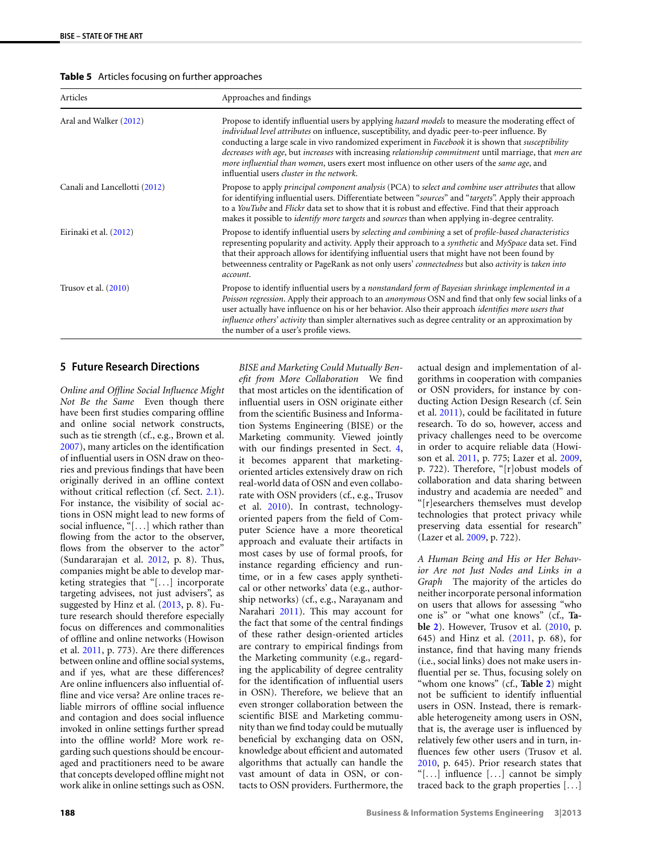<span id="page-9-1"></span>

|  | Table 5 Articles focusing on further approaches |
|--|-------------------------------------------------|
|--|-------------------------------------------------|

| Articles                      | Approaches and findings                                                                                                                                                                                                                                                                                                                                                                                                                                                                                                                                                          |
|-------------------------------|----------------------------------------------------------------------------------------------------------------------------------------------------------------------------------------------------------------------------------------------------------------------------------------------------------------------------------------------------------------------------------------------------------------------------------------------------------------------------------------------------------------------------------------------------------------------------------|
| Aral and Walker (2012)        | Propose to identify influential users by applying <i>hazard models</i> to measure the moderating effect of<br>individual level attributes on influence, susceptibility, and dyadic peer-to-peer influence. By<br>conducting a large scale in vivo randomized experiment in Facebook it is shown that <i>susceptibility</i><br>decreases with age, but increases with increasing relationship commitment until marriage, that men are<br>more influential than women, users exert most influence on other users of the same age, and<br>influential users cluster in the network. |
| Canali and Lancellotti (2012) | Propose to apply <i>principal component analysis</i> (PCA) to <i>select and combine user attributes</i> that allow<br>for identifying influential users. Differentiate between "sources" and "targets". Apply their approach<br>to a YouTube and Flickr data set to show that it is robust and effective. Find that their approach<br>makes it possible to <i>identify more targets</i> and <i>sources</i> than when applying in-degree centrality.                                                                                                                              |
| Eirinaki et al. (2012)        | Propose to identify influential users by selecting and combining a set of profile-based characteristics<br>representing popularity and activity. Apply their approach to a synthetic and MySpace data set. Find<br>that their approach allows for identifying influential users that might have not been found by<br>betweenness centrality or PageRank as not only users' connectedness but also activity is taken into<br>account.                                                                                                                                             |
| Trusov et al. $(2010)$        | Propose to identify influential users by a nonstandard form of Bayesian shrinkage implemented in a<br>Poisson regression. Apply their approach to an <i>anonymous</i> OSN and find that only few social links of a<br>user actually have influence on his or her behavior. Also their approach <i>identifies more users that</i><br>influence others' activity than simpler alternatives such as degree centrality or an approximation by<br>the number of a user's profile views.                                                                                               |

## <span id="page-9-0"></span>**5 Future Research Directions**

*Online and Offline Social Influence Might Not Be the Same* Even though there have been first studies comparing offline and online social network constructs, such as tie strength (cf., e.g., Brown et al. [2007](#page-12-7)), many articles on the identification of influential users in OSN draw on theories and previous findings that have been originally derived in an offline context without critical reflection (cf. Sect. [2.1](#page-2-0)). For instance, the visibility of social actions in OSN might lead to new forms of social influence, "[*...*] which rather than flowing from the actor to the observer, flows from the observer to the actor" (Sundararajan et al. [2012,](#page-14-40) p. 8). Thus, companies might be able to develop marketing strategies that "[*...*] incorporate targeting advisees, not just advisers", as suggested by Hinz et al. [\(2013](#page-13-6), p. 8). Future research should therefore especially focus on differences and commonalities of offline and online networks (Howison et al. [2011](#page-13-12), p. 773). Are there differences between online and offline social systems, and if yes, what are these differences? Are online influencers also influential offline and vice versa? Are online traces reliable mirrors of offline social influence and contagion and does social influence invoked in online settings further spread into the offline world? More work regarding such questions should be encouraged and practitioners need to be aware that concepts developed offline might not work alike in online settings such as OSN.

*BISE and Marketing Could Mutually Benefit from More Collaboration* We find that most articles on the identification of influential users in OSN originate either from the scientific Business and Information Systems Engineering (BISE) or the Marketing community. Viewed jointly with our findings presented in Sect. [4,](#page-5-0) it becomes apparent that marketingoriented articles extensively draw on rich real-world data of OSN and even collaborate with OSN providers (cf., e.g., Trusov et al. [2010](#page-14-36)). In contrast, technologyoriented papers from the field of Computer Science have a more theoretical approach and evaluate their artifacts in most cases by use of formal proofs, for instance regarding efficiency and runtime, or in a few cases apply synthetical or other networks' data (e.g., authorship networks) (cf., e.g., Narayanam and Narahari [2011\)](#page-13-54). This may account for the fact that some of the central findings of these rather design-oriented articles are contrary to empirical findings from the Marketing community (e.g., regarding the applicability of degree centrality for the identification of influential users in OSN). Therefore, we believe that an even stronger collaboration between the scientific BISE and Marketing community than we find today could be mutually beneficial by exchanging data on OSN, knowledge about efficient and automated algorithms that actually can handle the vast amount of data in OSN, or contacts to OSN providers. Furthermore, the

actual design and implementation of algorithms in cooperation with companies or OSN providers, for instance by conducting Action Design Research (cf. Sein et al. [2011\)](#page-14-41), could be facilitated in future research. To do so, however, access and privacy challenges need to be overcome in order to acquire reliable data (Howison et al. [2011,](#page-13-12) p. 775; Lazer et al. [2009,](#page-13-17) p. 722). Therefore, "[r]obust models of collaboration and data sharing between industry and academia are needed" and "[r]esearchers themselves must develop technologies that protect privacy while preserving data essential for research" (Lazer et al. [2009](#page-13-17), p. 722).

*A Human Being and His or Her Behavior Are not Just Nodes and Links in a Graph* The majority of the articles do neither incorporate personal information on users that allows for assessing "who one is" or "what one knows" (cf., **Table [2](#page-6-0)**). However, Trusov et al. [\(2010](#page-14-36), p. 645) and Hinz et al. ([2011,](#page-13-1) p. 68), for instance, find that having many friends (i.e., social links) does not make users influential per se. Thus, focusing solely on "whom one knows" (cf., **Table [2](#page-6-0)**) might not be sufficient to identify influential users in OSN. Instead, there is remarkable heterogeneity among users in OSN, that is, the average user is influenced by relatively few other users and in turn, influences few other users (Trusov et al. [2010](#page-14-36), p. 645). Prior research states that "[*...*] influence [*...*] cannot be simply traced back to the graph properties [*...*]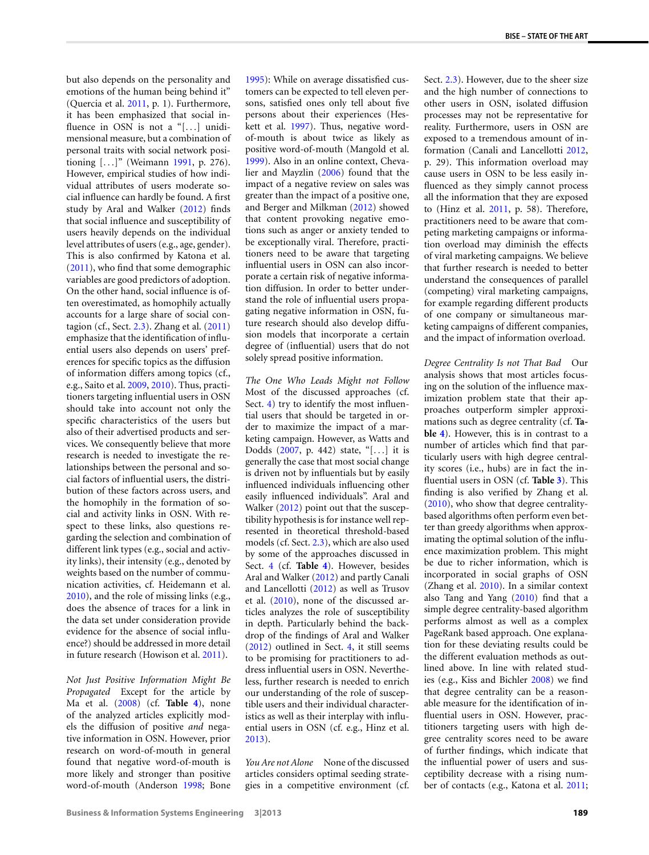but also depends on the personality and emotions of the human being behind it" (Quercia et al. [2011,](#page-14-42) p. 1). Furthermore, it has been emphasized that social influence in OSN is not a "[*...*] unidimensional measure, but a combination of personal traits with social network positioning [*...*]" (Weimann [1991,](#page-14-28) p. 276). However, empirical studies of how individual attributes of users moderate social influence can hardly be found. A first study by Aral and Walker [\(2012\)](#page-11-3) finds that social influence and susceptibility of users heavily depends on the individual level attributes of users (e.g., age, gender). This is also confirmed by Katona et al. [\(2011](#page-13-11)), who find that some demographic variables are good predictors of adoption. On the other hand, social influence is often overestimated, as homophily actually accounts for a large share of social contagion (cf., Sect. [2.3\)](#page-3-0). Zhang et al. [\(2011](#page-14-37)) emphasize that the identification of influential users also depends on users' preferences for specific topics as the diffusion of information differs among topics (cf., e.g., Saito et al. [2009,](#page-14-43) [2010](#page-14-44)). Thus, practitioners targeting influential users in OSN should take into account not only the specific characteristics of the users but also of their advertised products and services. We consequently believe that more research is needed to investigate the relationships between the personal and social factors of influential users, the distribution of these factors across users, and the homophily in the formation of social and activity links in OSN. With respect to these links, also questions regarding the selection and combination of different link types (e.g., social and activity links), their intensity (e.g., denoted by weights based on the number of communication activities, cf. Heidemann et al. [2010\)](#page-13-48), and the role of missing links (e.g., does the absence of traces for a link in the data set under consideration provide evidence for the absence of social influence?) should be addressed in more detail in future research (Howison et al. [2011\)](#page-13-12).

*Not Just Positive Information Might Be Propagated* Except for the article by Ma et al. [\(2008\)](#page-13-53) (cf. **Table [4](#page-8-0)**), none of the analyzed articles explicitly models the diffusion of positive *and* negative information in OSN. However, prior research on word-of-mouth in general found that negative word-of-mouth is more likely and stronger than positive word-of-mouth (Anderson [1998](#page-11-5); Bone

[1995](#page-12-38)): While on average dissatisfied customers can be expected to tell eleven persons, satisfied ones only tell about five persons about their experiences (Heskett et al. [1997\)](#page-13-55). Thus, negative wordof-mouth is about twice as likely as positive word-of-mouth (Mangold et al. [1999](#page-13-56)). Also in an online context, Chevalier and Mayzlin ([2006](#page-12-39)) found that the impact of a negative review on sales was greater than the impact of a positive one, and Berger and Milkman [\(2012](#page-12-40)) showed that content provoking negative emotions such as anger or anxiety tended to be exceptionally viral. Therefore, practitioners need to be aware that targeting influential users in OSN can also incorporate a certain risk of negative information diffusion. In order to better understand the role of influential users propagating negative information in OSN, future research should also develop diffusion models that incorporate a certain degree of (influential) users that do not solely spread positive information.

*The One Who Leads Might not Follow* Most of the discussed approaches (cf. Sect. [4](#page-5-0)) try to identify the most influential users that should be targeted in order to maximize the impact of a marketing campaign. However, as Watts and Dodds ([2007,](#page-14-27) p. 442) state, "[*...*] it is generally the case that most social change is driven not by influentials but by easily influenced individuals influencing other easily influenced individuals". Aral and Walker [\(2012](#page-11-3)) point out that the susceptibility hypothesis is for instance well represented in theoretical threshold-based models (cf. Sect. [2.3\)](#page-3-0), which are also used by some of the approaches discussed in Sect. [4](#page-5-0) (cf. **Table [4](#page-8-0)**). However, besides Aral and Walker [\(2012](#page-11-3)) and partly Canali and Lancellotti [\(2012\)](#page-12-37) as well as Trusov et al. ([2010\)](#page-14-36), none of the discussed articles analyzes the role of susceptibility in depth. Particularly behind the backdrop of the findings of Aral and Walker [\(2012\)](#page-11-3) outlined in Sect. [4,](#page-5-0) it still seems to be promising for practitioners to address influential users in OSN. Nevertheless, further research is needed to enrich our understanding of the role of susceptible users and their individual characteristics as well as their interplay with influential users in OSN (cf. e.g., Hinz et al. [2013](#page-13-6)).

*You Are not Alone* None of the discussed articles considers optimal seeding strategies in a competitive environment (cf.

Sect. [2.3](#page-3-0)). However, due to the sheer size and the high number of connections to other users in OSN, isolated diffusion processes may not be representative for reality. Furthermore, users in OSN are exposed to a tremendous amount of information (Canali and Lancellotti [2012,](#page-12-37) p. 29). This information overload may cause users in OSN to be less easily influenced as they simply cannot process all the information that they are exposed to (Hinz et al. [2011,](#page-13-1) p. 58). Therefore, practitioners need to be aware that competing marketing campaigns or information overload may diminish the effects of viral marketing campaigns. We believe that further research is needed to better understand the consequences of parallel (competing) viral marketing campaigns, for example regarding different products of one company or simultaneous marketing campaigns of different companies, and the impact of information overload.

*Degree Centrality Is not That Bad* Our analysis shows that most articles focusing on the solution of the influence maximization problem state that their approaches outperform simpler approximations such as degree centrality (cf. **Table [4](#page-8-0)**). However, this is in contrast to a number of articles which find that particularly users with high degree centrality scores (i.e., hubs) are in fact the influential users in OSN (cf. **Table [3](#page-6-1)**). This finding is also verified by Zhang et al. [\(2010\)](#page-14-39), who show that degree centralitybased algorithms often perform even better than greedy algorithms when approximating the optimal solution of the influence maximization problem. This might be due to richer information, which is incorporated in social graphs of OSN (Zhang et al. [2010\)](#page-14-39). In a similar context also Tang and Yang [\(2010](#page-14-45)) find that a simple degree centrality-based algorithm performs almost as well as a complex PageRank based approach. One explanation for these deviating results could be the different evaluation methods as outlined above. In line with related studies (e.g., Kiss and Bichler [2008](#page-13-37)) we find that degree centrality can be a reasonable measure for the identification of influential users in OSN. However, practitioners targeting users with high degree centrality scores need to be aware of further findings, which indicate that the influential power of users and susceptibility decrease with a rising number of contacts (e.g., Katona et al. [2011;](#page-13-11)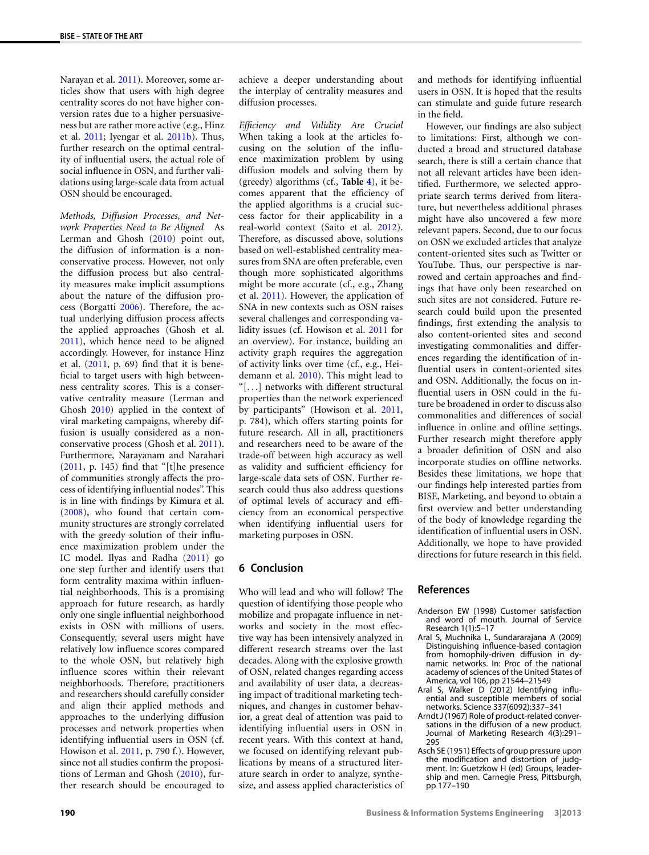Narayan et al. [2011\)](#page-13-3). Moreover, some articles show that users with high degree centrality scores do not have higher conversion rates due to a higher persuasiveness but are rather more active (e.g., Hinz et al. [2011;](#page-13-1) Iyengar et al. [2011b](#page-13-2)). Thus, further research on the optimal centrality of influential users, the actual role of social influence in OSN, and further validations using large-scale data from actual OSN should be encouraged.

*Methods, Diffusion Processes, and Network Properties Need to Be Aligned* As Lerman and Ghosh [\(2010\)](#page-13-52) point out, the diffusion of information is a nonconservative process. However, not only the diffusion process but also centrality measures make implicit assumptions about the nature of the diffusion process (Borgatti [2006\)](#page-12-22). Therefore, the actual underlying diffusion process affects the applied approaches (Ghosh et al. [2011](#page-13-57)), which hence need to be aligned accordingly. However, for instance Hinz et al. [\(2011](#page-13-1), p. 69) find that it is beneficial to target users with high betweenness centrality scores. This is a conservative centrality measure (Lerman and Ghosh [2010](#page-13-52)) applied in the context of viral marketing campaigns, whereby diffusion is usually considered as a nonconservative process (Ghosh et al. [2011](#page-13-57)). Furthermore, Narayanam and Narahari [\(2011](#page-13-54), p. 145) find that "[t]he presence of communities strongly affects the process of identifying influential nodes". This is in line with findings by Kimura et al. [\(2008](#page-13-58)), who found that certain community structures are strongly correlated with the greedy solution of their influence maximization problem under the IC model. Ilyas and Radha [\(2011](#page-13-49)) go one step further and identify users that form centrality maxima within influential neighborhoods. This is a promising approach for future research, as hardly only one single influential neighborhood exists in OSN with millions of users. Consequently, several users might have relatively low influence scores compared to the whole OSN, but relatively high influence scores within their relevant neighborhoods. Therefore, practitioners and researchers should carefully consider and align their applied methods and approaches to the underlying diffusion processes and network properties when identifying influential users in OSN (cf. Howison et al. [2011,](#page-13-12) p. 790 f.). However, since not all studies confirm the propositions of Lerman and Ghosh [\(2010\)](#page-13-52), further research should be encouraged to

achieve a deeper understanding about the interplay of centrality measures and diffusion processes.

*Efficiency and Validity Are Crucial* When taking a look at the articles focusing on the solution of the influence maximization problem by using diffusion models and solving them by (greedy) algorithms (cf., **Table [4](#page-8-0)**), it becomes apparent that the efficiency of the applied algorithms is a crucial success factor for their applicability in a real-world context (Saito et al. [2012](#page-14-38)). Therefore, as discussed above, solutions based on well-established centrality measures from SNA are often preferable, even though more sophisticated algorithms might be more accurate (cf., e.g., Zhang et al. [2011\)](#page-14-37). However, the application of SNA in new contexts such as OSN raises several challenges and corresponding validity issues (cf. Howison et al. [2011](#page-13-12) for an overview). For instance, building an activity graph requires the aggregation of activity links over time (cf., e.g., Heidemann et al. [2010](#page-13-48)). This might lead to "[*...*] networks with different structural properties than the network experienced by participants" (Howison et al. [2011,](#page-13-12) p. 784), which offers starting points for future research. All in all, practitioners and researchers need to be aware of the trade-off between high accuracy as well as validity and sufficient efficiency for large-scale data sets of OSN. Further research could thus also address questions of optimal levels of accuracy and efficiency from an economical perspective when identifying influential users for marketing purposes in OSN.

## <span id="page-11-0"></span>**6 Conclusion**

Who will lead and who will follow? The question of identifying those people who mobilize and propagate influence in networks and society in the most effective way has been intensively analyzed in different research streams over the last decades. Along with the explosive growth of OSN, related changes regarding access and availability of user data, a decreasing impact of traditional marketing techniques, and changes in customer behavior, a great deal of attention was paid to identifying influential users in OSN in recent years. With this context at hand, we focused on identifying relevant publications by means of a structured literature search in order to analyze, synthesize, and assess applied characteristics of and methods for identifying influential users in OSN. It is hoped that the results can stimulate and guide future research in the field.

However, our findings are also subject to limitations: First, although we conducted a broad and structured database search, there is still a certain chance that not all relevant articles have been identified. Furthermore, we selected appropriate search terms derived from literature, but nevertheless additional phrases might have also uncovered a few more relevant papers. Second, due to our focus on OSN we excluded articles that analyze content-oriented sites such as Twitter or YouTube. Thus, our perspective is narrowed and certain approaches and findings that have only been researched on such sites are not considered. Future research could build upon the presented findings, first extending the analysis to also content-oriented sites and second investigating commonalities and differences regarding the identification of influential users in content-oriented sites and OSN. Additionally, the focus on influential users in OSN could in the future be broadened in order to discuss also commonalities and differences of social influence in online and offline settings. Further research might therefore apply a broader definition of OSN and also incorporate studies on offline networks. Besides these limitations, we hope that our findings help interested parties from BISE, Marketing, and beyond to obtain a first overview and better understanding of the body of knowledge regarding the identification of influential users in OSN. Additionally, we hope to have provided directions for future research in this field.

## <span id="page-11-5"></span><span id="page-11-4"></span><span id="page-11-3"></span>**References**

- <span id="page-11-1"></span>Anderson EW (1998) Customer satisfaction and word of mouth. Journal of Service Research 1(1):5–17
- <span id="page-11-2"></span>Aral S, Muchnika L, Sundararajana A (2009) Distinguishing influence-based contagion from homophily-driven diffusion in dynamic networks. In: Proc of the national academy of sciences of the United States of America, vol 106, pp 21544–21549
- Aral S, Walker D (2012) Identifying influential and susceptible members of social networks. Science 337(6092):337–341
- Arndt J (1967) Role of product-related conversations in the diffusion of a new product. Journal of Marketing Research 4(3):291– 295
- Asch SE (1951) Effects of group pressure upon the modification and distortion of judgment. In: Guetzkow H (ed) Groups, leadership and men. Carnegie Press, Pittsburgh, pp 177–190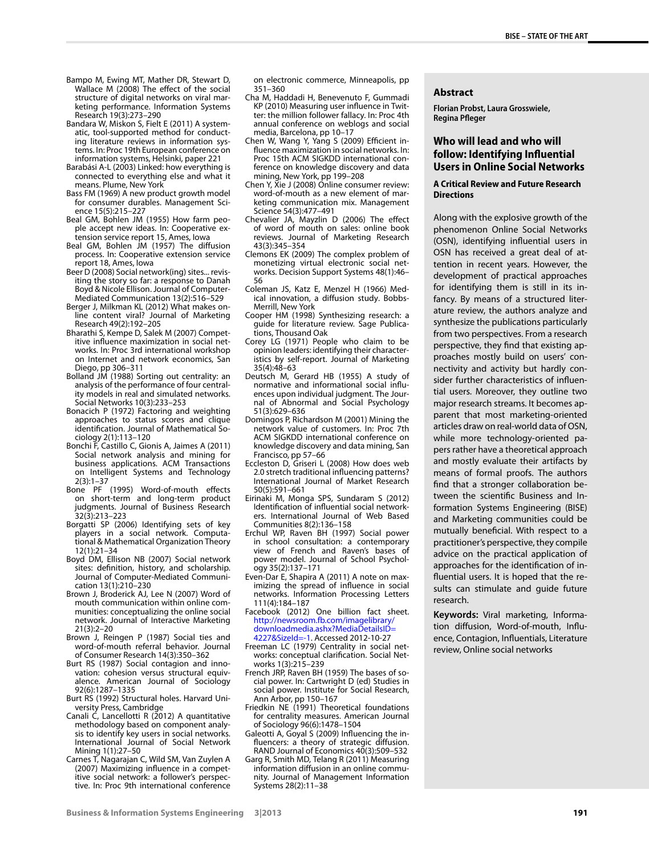- <span id="page-12-33"></span><span id="page-12-19"></span><span id="page-12-15"></span><span id="page-12-5"></span>Bampo M, Ewing MT, Mather DR, Stewart D, Wallace M (2008) The effect of the social structure of digital networks on viral marketing performance. Information Systems Research 19(3):273–290
- <span id="page-12-11"></span>Bandara W, Miskon S, Fielt E (2011) A systematic, tool-supported method for conducting literature reviews in information systems. In: Proc 19th European conference on information systems, Helsinki, paper 221
- <span id="page-12-12"></span><span id="page-12-10"></span>Barabási A-L (2003) Linked: how everything is connected to everything else and what it means. Plume, New York
- Bass FM (1969) A new product growth model for consumer durables. Management Science 15(5):215–227
- <span id="page-12-40"></span>Beal GM, Bohlen JM (1955) How farm people accept new ideas. In: Cooperative extension service report 15, Ames, Iowa
- <span id="page-12-31"></span>Beal GM, Bohlen JM (1957) The diffusion process. In: Cooperative extension service report 18, Ames, Iowa
- <span id="page-12-27"></span>Beer D (2008) Social network(ing) sites... revisiting the story so far: a response to Danah Boyd & Nicole Ellison. Journal of Computer-Mediated Communication 13(2):516–529
- <span id="page-12-26"></span>Berger J, Milkman KL (2012) What makes online content viral? Journal of Marketing Research 49(2):192–205
- <span id="page-12-3"></span>Bharathi S, Kempe D, Salek M (2007) Competitive influence maximization in social networks. In: Proc 3rd international workshop on Internet and network economics, San Diego, pp 306–311
- <span id="page-12-38"></span>Bolland JM (1988) Sorting out centrality: an analysis of the performance of four centrality models in real and simulated networks. Social Networks 10(3):233–253
- <span id="page-12-22"></span>Bonacich P (1972) Factoring and weighting approaches to status scores and clique identification. Journal of Mathematical Sociology 2(1):113–120
- <span id="page-12-9"></span>Bonchi F, Castillo C, Gionis A, Jaimes A (2011) Social network analysis and mining for business applications. ACM Transactions on Intelligent Systems and Technology 2(3):1–37
- <span id="page-12-7"></span>Bone PF (1995) Word-of-mouth effects on short-term and long-term product judgments. Journal of Business Research 32(3):213–223
- <span id="page-12-20"></span>Borgatti SP (2006) Identifying sets of key players in a social network. Computational & Mathematical Organization Theory 12(1):21–34
- <span id="page-12-14"></span>Boyd DM, Ellison NB (2007) Social network sites: definition, history, and scholarship. Journal of Computer-Mediated Communication 13(1):210–230
- <span id="page-12-21"></span>Brown J, Broderick AJ, Lee N (2007) Word of mouth communication within online communities: conceptualizing the online social network. Journal of Interactive Marketing 21(3):2–20
- <span id="page-12-37"></span>Brown J, Reingen P (1987) Social ties and word-of-mouth referral behavior. Journal of Consumer Research 14(3):350–362
- <span id="page-12-32"></span>Burt RS (1987) Social contagion and innovation: cohesion versus structural equivalence. American Journal of Sociology 92(6):1287–1335
- Burt RS (1992) Structural holes. Harvard University Press, Cambridge
- Canali C, Lancellotti R (2012) A quantitative methodology based on component analysis to identify key users in social networks. International Journal of Social Network Mining 1(1):27–50
- Carnes T, Nagarajan C, Wild SM, Van Zuylen A (2007) Maximizing influence in a competitive social network: a follower's perspective. In: Proc 9th international conference

<span id="page-12-36"></span><span id="page-12-29"></span>on electronic commerce, Minneapolis, pp 351–360

- <span id="page-12-1"></span>Cha M, Haddadi H, Benevenuto F, Gummadi KP (2010) Measuring user influence in Twitter: the million follower fallacy. In: Proc 4th annual conference on weblogs and social media, Barcelona, pp 10–17
- <span id="page-12-39"></span><span id="page-12-0"></span>Chen W, Wang Y, Yang S (2009) Efficient influence maximization in social networks. In: Proc 15th ACM SIGKDD international conference on knowledge discovery and data mining, New York, pp 199–208
- <span id="page-12-13"></span>Chen Y, Xie J (2008) Online consumer review: word-of-mouth as a new element of marketing communication mix. Management Science 54(3):477–491
- <span id="page-12-34"></span>Chevalier JA, Mayzlin D (2006) The effect of word of mouth on sales: online book reviews. Journal of Marketing Research 43(3):345–354
- <span id="page-12-4"></span>Clemons EK (2009) The complex problem of monetizing virtual electronic social networks. Decision Support Systems 48(1):46– 56
- <span id="page-12-17"></span>Coleman JS, Katz E, Menzel H (1966) Medical innovation, a diffusion study. Bobbs-Merrill, New York
- <span id="page-12-28"></span>Cooper HM (1998) Synthesizing research: a guide for literature review. Sage Publications, Thousand Oak
- Corey LG (1971) People who claim to be opinion leaders: identifying their characteristics by self-report. Journal of Marketing 35(4):48–63
- <span id="page-12-8"></span>Deutsch M, Gerard HB (1955) A study of normative and informational social influences upon individual judgment. The Journal of Abnormal and Social Psychology 51(3):629–636
- <span id="page-12-35"></span><span id="page-12-2"></span>Domingos P, Richardson M (2001) Mining the network value of customers. In: Proc 7th ACM SIGKDD international conference on knowledge discovery and data mining, San Francisco, pp 57–66
- Eccleston D, Griseri L (2008) How does web 2.0 stretch traditional influencing patterns? International Journal of Market Research 50(5):591–661
- <span id="page-12-30"></span><span id="page-12-6"></span>Eirinaki M, Monga SPS, Sundaram S (2012) Identification of influential social networkers. International Journal of Web Based Communities 8(2):136–158
- <span id="page-12-24"></span>Erchul WP, Raven BH (1997) Social power in school consultation: a contemporary view of French and Raven's bases of power model. Journal of School Psychology 35(2):137–171
- <span id="page-12-16"></span>Even-Dar E, Shapira A (2011) A note on maximizing the spread of influence in social networks. Information Processing Letters 111(4):184–187
- <span id="page-12-23"></span>Facebook (2012) One billion fact sheet. [http://newsroom.fb.com/imagelibrary/](http://newsroom.fb.com/imagelibrary/downloadmedia.ashx?MediaDetailsID=4227&SizeId=-1) [downloadmedia.ashx?MediaDetailsID=](http://newsroom.fb.com/imagelibrary/downloadmedia.ashx?MediaDetailsID=4227&SizeId=-1) [4227&SizeId=-1.](http://newsroom.fb.com/imagelibrary/downloadmedia.ashx?MediaDetailsID=4227&SizeId=-1) Accessed 2012-10-27
- <span id="page-12-25"></span>Freeman LC (1979) Centrality in social networks: conceptual clarification. Social Networks 1(3):215–239
- <span id="page-12-18"></span>French JRP, Raven BH (1959) The bases of social power. In: Cartwright D (ed) Studies in social power. Institute for Social Research, Ann Arbor, pp 150–167
- Friedkin NE (1991) Theoretical foundations for centrality measures. American Journal of Sociology 96(6):1478–1504
- Galeotti A, Goyal S (2009) Influencing the influencers: a theory of strategic diffusion. RAND Journal of Economics 40(3):509–532
- Garg R, Smith MD, Telang R (2011) Measuring information diffusion in an online community. Journal of Management Information Systems 28(2):11–38

#### **Abstract**

**Florian Probst, Laura Grosswiele, Regina Pfleger**

## **Who will lead and who will follow: Identifying Influential Users in Online Social Networks**

#### **A Critical Review and Future Research Directions**

Along with the explosive growth of the phenomenon Online Social Networks (OSN), identifying influential users in OSN has received a great deal of attention in recent years. However, the development of practical approaches for identifying them is still in its infancy. By means of a structured literature review, the authors analyze and synthesize the publications particularly from two perspectives. From a research perspective, they find that existing approaches mostly build on users' connectivity and activity but hardly consider further characteristics of influential users. Moreover, they outline two major research streams. It becomes apparent that most marketing-oriented articles draw on real-world data of OSN, while more technology-oriented papers rather have a theoretical approach and mostly evaluate their artifacts by means of formal proofs. The authors find that a stronger collaboration between the scientific Business and Information Systems Engineering (BISE) and Marketing communities could be mutually beneficial. With respect to a practitioner's perspective, they compile advice on the practical application of approaches for the identification of influential users. It is hoped that the results can stimulate and guide future research.

**Keywords:** Viral marketing, Information diffusion, Word-of-mouth, Influence, Contagion, Influentials, Literature review, Online social networks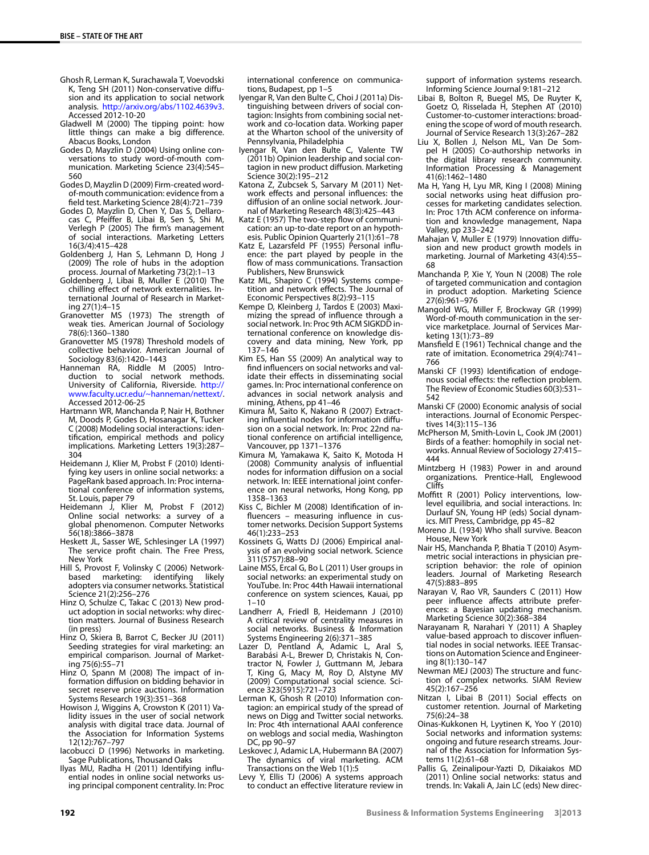- <span id="page-13-57"></span><span id="page-13-35"></span><span id="page-13-28"></span><span id="page-13-4"></span>Ghosh R, Lerman K, Surachawala T, Voevodski K, Teng SH (2011) Non-conservative diffusion and its application to social network analysis. <http://arxiv.org/abs/1102.4639v3>. Accessed 2012-10-20
- <span id="page-13-23"></span>Gladwell M (2000) The tipping point: how little things can make a big difference. Abacus Books, London
- <span id="page-13-5"></span>Godes D, Mayzlin D (2004) Using online conversations to study word-of-mouth communication. Marketing Science 23(4):545– 560
- <span id="page-13-21"></span>Godes D, Mayzlin D (2009) Firm-created wordof-mouth communication: evidence from a field test. Marketing Science 28(4):721–739
- <span id="page-13-36"></span>Godes D, Mayzlin D, Chen Y, Das S, Dellarocas C, Pfeiffer B, Libai B, Sen S, Shi M, Verlegh P (2005) The firm's management of social interactions. Marketing Letters 16(3/4):415–428
- <span id="page-13-25"></span>Goldenberg J, Han S, Lehmann D, Hong J (2009) The role of hubs in the adoption process. Journal of Marketing 73(2):1–13
- <span id="page-13-42"></span>Goldenberg J, Libai B, Muller E (2010) The chilling effect of network externalities. International Journal of Research in Marketing 27(1):4–15
- <span id="page-13-27"></span>Granovetter MS (1973) The strength of weak ties. American Journal of Sociology 78(6):1360–1380
- Granovetter MS (1978) Threshold models of collective behavior. American Journal of Sociology 83(6):1420–1443
- <span id="page-13-48"></span>Hanneman RA, Riddle M (2005) Introduction to social network methods. University of California, Riverside. [http://](http://www.faculty.ucr.edu/~hanneman/nettext/) [www.faculty.ucr.edu/](http://www.faculty.ucr.edu/~hanneman/nettext/)~hanneman/nettext/. Accessed 2012-06-25
- <span id="page-13-14"></span>Hartmann WR, Manchanda P, Nair H, Bothner M, Doods P, Godes D, Hosanagar K, Tucker C (2008) Modeling social interactions: identification, empirical methods and policy implications. Marketing Letters 19(3):287– 304
- <span id="page-13-55"></span><span id="page-13-9"></span>Heidemann J, Klier M, Probst F (2010) Identifying key users in online social networks: a PageRank based approach. In: Proc international conference of information systems, St. Louis, paper 79
- <span id="page-13-6"></span>Heidemann J, Klier M, Probst F (2012) Online social networks: a survey of a global phenomenon. Computer Networks 56(18):3866–3878
- <span id="page-13-1"></span>Heskett JL, Sasser WE, Schlesinger LA (1997) The service profit chain. The Free Press, New York
- <span id="page-13-41"></span>Hill S, Provost F, Volinsky C (2006) Network-<br>based marketing: identifying likely based marketing: identifying likely adopters via consumer networks. Statistical Science 21(2):256–276
- <span id="page-13-12"></span>Hinz O, Schulze C, Takac C (2013) New product adoption in social networks: why direction matters. Journal of Business Research (in press)
- <span id="page-13-39"></span>Hinz O, Skiera B, Barrot C, Becker JU (2011) Seeding strategies for viral marketing: an empirical comparison. Journal of Marketing 75(6):55–71
- <span id="page-13-49"></span>Hinz O, Spann M (2008) The impact of information diffusion on bidding behavior in secret reserve price auctions. Information Systems Research 19(3):351–368
- Howison J, Wiggins A, Crowston K (2011) Validity issues in the user of social network analysis with digital trace data. Journal of the Association for Information Systems 12(12):767–797
- Iacobucci D (1996) Networks in marketing. Sage Publications, Thousand Oaks
- Ilyas MU, Radha H (2011) Identifying influential nodes in online social networks using principal component centrality. In: Proc

<span id="page-13-7"></span>international conference on communications, Budapest, pp 1–5

- <span id="page-13-11"></span><span id="page-13-2"></span><span id="page-13-0"></span>Iyengar R, Van den Bulte C, Choi J (2011a) Distinguishing between drivers of social contagion: Insights from combining social network and co-location data. Working paper at the Wharton school of the university of Pennsylvania, Philadelphia
- <span id="page-13-24"></span>Iyengar R, Van den Bulte C, Valente TW (2011b) Opinion leadership and social contagion in new product diffusion. Marketing Science 30(2):195–212
- <span id="page-13-26"></span>Katona Z, Zubcsek S, Sarvary M (2011) Network effects and personal influences: the diffusion of an online social network. Journal of Marketing Research 48(3):425–443
- <span id="page-13-45"></span>Katz E (1957) The two-step flow of communication: an up-to-date report on an hypothesis. Public Opinion Quarterly 21(1):61–78
- <span id="page-13-50"></span>Katz E, Lazarsfeld PF (1955) Personal influence: the part played by people in the flow of mass communications. Transaction Publishers, New Brunswick
- Katz ML, Shapiro C (1994) Systems competition and network effects. The Journal of Economic Perspectives 8(2):93–115
- <span id="page-13-51"></span>Kempe D, Kleinberg J, Tardos E (2003) Maximizing the spread of influence through a social network. In: Proc 9th ACM SIGKDD international conference on knowledge discovery and data mining, New York, pp 137–146
- <span id="page-13-58"></span>Kim ES, Han SS (2009) An analytical way to find influencers on social networks and validate their effects in disseminating social games. In: Proc international conference on advances in social network analysis and mining, Athens, pp 41–46
- <span id="page-13-37"></span>Kimura M, Saito K, Nakano R (2007) Extracting influential nodes for information diffusion on a social network. In: Proc 22nd national conference on artificial intelligence, Vancouver, pp 1371–1376
- <span id="page-13-16"></span><span id="page-13-15"></span>Kimura M, Yamakawa K, Saito K, Motoda H (2008) Community analysis of influential nodes for information diffusion on a social network. In: IEEE international joint conference on neural networks, Hong Kong, pp 1358–1363
- <span id="page-13-40"></span>Kiss C, Bichler M (2008) Identification of influencers – measuring influence in customer networks. Decision Support Systems 46(1):233–253
- <span id="page-13-17"></span>Kossinets G, Watts DJ (2006) Empirical analysis of an evolving social network. Science 311(5757):88–90
- Laine MSS, Ercal G, Bo L (2011) User groups in social networks: an experimental study on YouTube. In: Proc 44th Hawaii international conference on system sciences, Kauai, pp  $1 - 10$
- <span id="page-13-52"></span>Landherr A, Friedl B, Heidemann J (2010) A critical review of centrality measures in social networks. Business & Information Systems Engineering 2(6):371–385
- <span id="page-13-46"></span>Lazer D, Pentland A, Adamic L, Aral S, Barabási A-L, Brewer D, Christakis N, Contractor N, Fowler J, Guttmann M, Jebara T, King G, Macy M, Roy D, Alstyne MV (2009) Computational social science. Science 323(5915):721–723
- <span id="page-13-47"></span>Lerman K, Ghosh R (2010) Information contagion: an empirical study of the spread of news on Digg and Twitter social networks. In: Proc 4th international AAAI conference on weblogs and social media, Washington DC, pp 90–97
- Leskovec J, Adamic LA, Hubermann BA (2007) The dynamics of viral marketing. ACM Transactions on the Web 1(1):5
- Levy Y, Ellis TJ (2006) A systems approach to conduct an effective literature review in

<span id="page-13-44"></span><span id="page-13-8"></span>support of information systems research. Informing Science Journal 9:181–212

- <span id="page-13-53"></span>Libai B, Bolton R, Buegel MS, De Ruyter K, Goetz O, Risselada H, Stephen AT (2010) Customer-to-customer interactions: broadening the scope of word of mouth research. Journal of Service Research 13(3):267–282
- <span id="page-13-20"></span>Liu X, Bollen J, Nelson ML, Van De Sompel H (2005) Co-authorship networks in the digital library research community. Information Processing & Management 41(6):1462–1480
- <span id="page-13-56"></span><span id="page-13-34"></span>Ma H, Yang H, Lyu MR, King I (2008) Mining social networks using heat diffusion processes for marketing candidates selection. In: Proc 17th ACM conference on information and knowledge management, Napa Valley, pp 233–242
- <span id="page-13-19"></span>Mahajan V, Muller E (1979) Innovation diffusion and new product growth models in marketing. Journal of Marketing 43(4):55– 68
- <span id="page-13-31"></span>Manchanda P, Xie Y, Youn N (2008) The role of targeted communication and contagion in product adoption. Marketing Science 27(6):961–976
- <span id="page-13-32"></span>Mangold WG, Miller F, Brockway GR (1999) Word-of-mouth communication in the service marketplace. Journal of Services Marketing 13(1):73–89
- <span id="page-13-29"></span>Mansfield E (1961) Technical change and the rate of imitation. Econometrica 29(4):741– 766
- <span id="page-13-22"></span>Manski CF (1993) Identification of endogenous social effects: the reflection problem. The Review of Economic Studies 60(3):531-542
- <span id="page-13-33"></span>Manski CF (2000) Economic analysis of social interactions. Journal of Economic Perspectives 14(3):115–136
- <span id="page-13-18"></span>McPherson M, Smith-Lovin L, Cook JM (2001) Birds of a feather: homophily in social networks. Annual Review of Sociology 27:415– 444
- <span id="page-13-30"></span>Mintzberg H (1983) Power in and around organizations. Prentice-Hall, Englewood Cliffs
- <span id="page-13-3"></span>Moffitt R (2001) Policy interventions, lowlevel equilibria, and social interactions. In: Durlauf SN, Young HP (eds) Social dynamics. MIT Press, Cambridge, pp 45–82
- <span id="page-13-54"></span>Moreno JL (1934) Who shall survive. Beacon House, New York
- Nair HS, Manchanda P, Bhatia T (2010) Asymmetric social interactions in physician prescription behavior: the role of opinion leaders. Journal of Marketing Research 47(5):883–895
- <span id="page-13-43"></span><span id="page-13-10"></span>Narayan V, Rao VR, Saunders C (2011) How peer influence affects attribute preferences: a Bayesian updating mechanism. Marketing Science 30(2):368–384
- <span id="page-13-38"></span>Narayanam R, Narahari Y (2011) A Shapley value-based approach to discover influential nodes in social networks. IEEE Transactions on Automation Science and Engineering 8(1):130–147
- <span id="page-13-13"></span>Newman MEJ (2003) The structure and function of complex networks. SIAM Review 45(2):167–256
- Nitzan I, Libai B (2011) Social effects on customer retention. Journal of Marketing 75(6):24–38
- Oinas-Kukkonen H, Lyytinen K, Yoo Y (2010) Social networks and information systems: ongoing and future research streams. Journal of the Association for Information Systems 11(2):61–68
- Pallis G, Zeinalipour-Yazti D, Dikaiakos MD (2011) Online social networks: status and trends. In: Vakali A, Jain LC (eds) New direc-